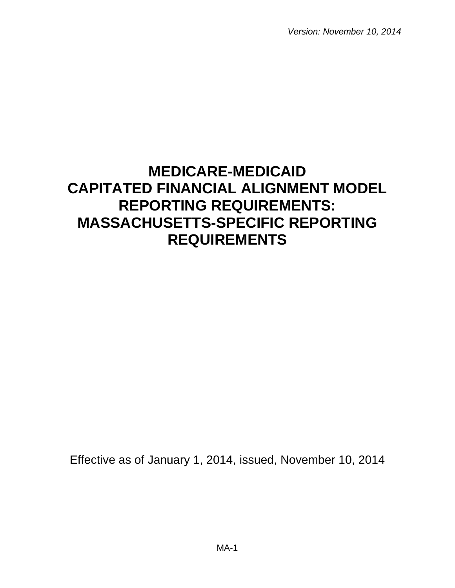*Version: November 10, 2014* 

# **MEDICARE-MEDICAID CAPITATED FINANCIAL ALIGNMENT MODEL REPORTING REQUIREMENTS: MASSACHUSETTS-SPECIFIC REPORTING REQUIREMENTS**

Effective as of January 1, 2014, issued, November 10, 2014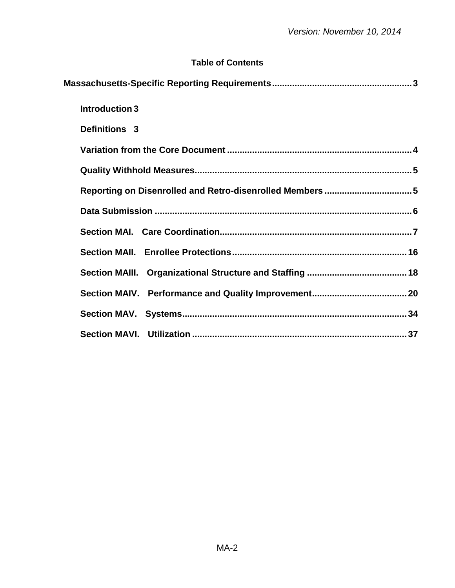# **Table of Contents**

| Introduction 3                                          |  |
|---------------------------------------------------------|--|
| Definitions 3                                           |  |
|                                                         |  |
|                                                         |  |
| Reporting on Disenrolled and Retro-disenrolled Members5 |  |
|                                                         |  |
|                                                         |  |
|                                                         |  |
|                                                         |  |
|                                                         |  |
|                                                         |  |
|                                                         |  |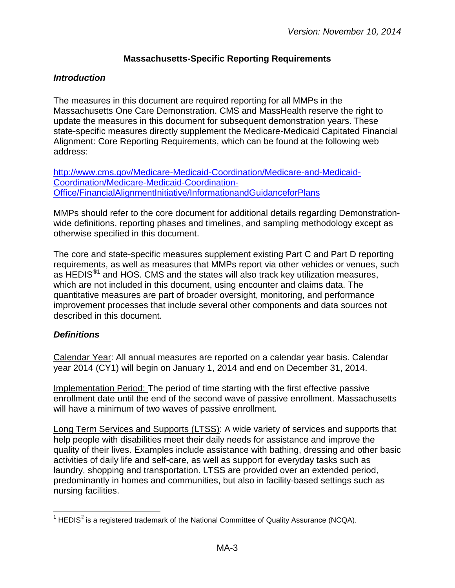## **Massachusetts-Specific Reporting Requirements**

#### <span id="page-2-1"></span><span id="page-2-0"></span>*Introduction*

The measures in this document are required reporting for all MMPs in the Massachusetts One Care Demonstration. CMS and MassHealth reserve the right to update the measures in this document for subsequent demonstration years. These state-specific measures directly supplement the Medicare-Medicaid Capitated Financial Alignment: Core Reporting Requirements, which can be found at the following web address:

[http://www.cms.gov/Medicare-Medicaid-Coordination/Medicare-and-Medicaid-](http://www.cms.gov/Medicare-Medicaid-Coordination/Medicare-and-Medicaid-Coordination/Medicare-Medicaid-Coordination-Office/FinancialAlignmentInitiative/InformationandGuidanceforPlans.html)[Coordination/Medicare-Medicaid-Coordination-](http://www.cms.gov/Medicare-Medicaid-Coordination/Medicare-and-Medicaid-Coordination/Medicare-Medicaid-Coordination-Office/FinancialAlignmentInitiative/InformationandGuidanceforPlans.html)[Office/FinancialAlignmentInitiative/InformationandGuidanceforPlans](http://www.cms.gov/Medicare-Medicaid-Coordination/Medicare-and-Medicaid-Coordination/Medicare-Medicaid-Coordination-Office/FinancialAlignmentInitiative/InformationandGuidanceforPlans.html)

MMPs should refer to the core document for additional details regarding Demonstrationwide definitions, reporting phases and timelines, and sampling methodology except as otherwise specified in this document.

The core and state-specific measures supplement existing Part C and Part D reporting requirements, as well as measures that MMPs report via other vehicles or venues, such as HEDIS $^{\circledast}$  and HOS. CMS and the states will also track key utilization measures, which are not included in this document, using encounter and claims data. The quantitative measures are part of broader oversight, monitoring, and performance improvement processes that include several other components and data sources not described in this document.

#### <span id="page-2-2"></span>*Definitions*

Calendar Year: All annual measures are reported on a calendar year basis. Calendar year 2014 (CY1) will begin on January 1, 2014 and end on December 31, 2014.

Implementation Period: The period of time starting with the first effective passive enrollment date until the end of the second wave of passive enrollment. Massachusetts will have a minimum of two waves of passive enrollment.

Long Term Services and Supports (LTSS): A wide variety of services and supports that help people with disabilities meet their daily needs for assistance and improve the quality of their lives. Examples include assistance with bathing, dressing and other basic activities of daily life and self-care, as well as support for everyday tasks such as laundry, shopping and transportation. LTSS are provided over an extended period, predominantly in homes and communities, but also in facility-based settings such as nursing facilities.

 $\overline{a}$ <sup>1</sup> HEDIS<sup>®</sup> is a registered trademark of the National Committee of Quality Assurance (NCQA).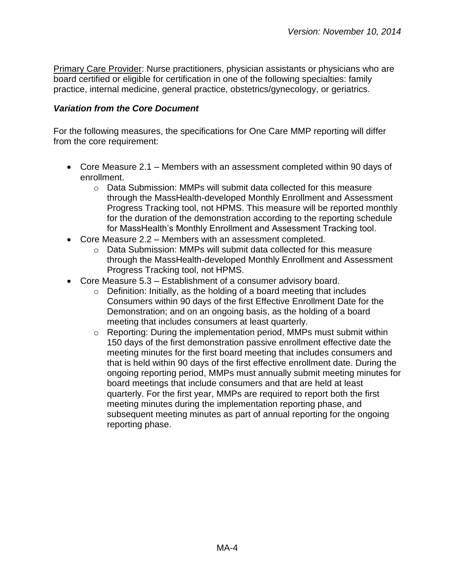Primary Care Provider: Nurse practitioners, physician assistants or physicians who are board certified or eligible for certification in one of the following specialties: family practice, internal medicine, general practice, obstetrics/gynecology, or geriatrics.

#### <span id="page-3-0"></span>*Variation from the Core Document*

For the following measures, the specifications for One Care MMP reporting will differ from the core requirement:

- Core Measure 2.1 Members with an assessment completed within 90 days of enrollment.
	- $\circ$  Data Submission: MMPs will submit data collected for this measure through the MassHealth-developed Monthly Enrollment and Assessment Progress Tracking tool, not HPMS. This measure will be reported monthly for the duration of the demonstration according to the reporting schedule for MassHealth's Monthly Enrollment and Assessment Tracking tool.
- Core Measure 2.2 Members with an assessment completed.
	- $\circ$  Data Submission: MMPs will submit data collected for this measure through the MassHealth-developed Monthly Enrollment and Assessment Progress Tracking tool, not HPMS.
- Core Measure 5.3 Establishment of a consumer advisory board.
	- o Definition: Initially, as the holding of a board meeting that includes Consumers within 90 days of the first Effective Enrollment Date for the Demonstration; and on an ongoing basis, as the holding of a board meeting that includes consumers at least quarterly.
	- o Reporting: During the implementation period, MMPs must submit within 150 days of the first demonstration passive enrollment effective date the meeting minutes for the first board meeting that includes consumers and that is held within 90 days of the first effective enrollment date. During the ongoing reporting period, MMPs must annually submit meeting minutes for board meetings that include consumers and that are held at least quarterly. For the first year, MMPs are required to report both the first meeting minutes during the implementation reporting phase, and subsequent meeting minutes as part of annual reporting for the ongoing reporting phase.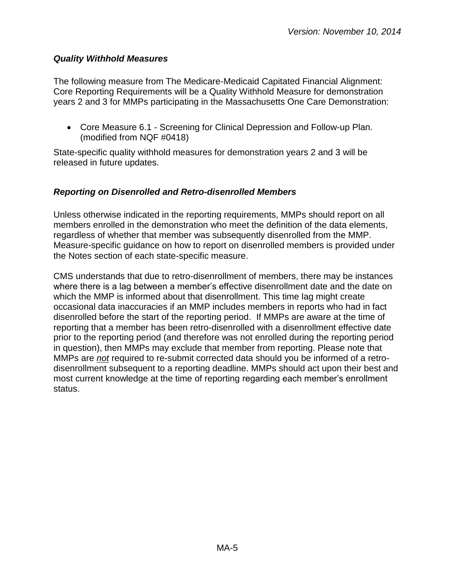#### <span id="page-4-0"></span>*Quality Withhold Measures*

The following measure from The Medicare-Medicaid Capitated Financial Alignment: Core Reporting Requirements will be a Quality Withhold Measure for demonstration years 2 and 3 for MMPs participating in the Massachusetts One Care Demonstration:

 Core Measure 6.1 - Screening for Clinical Depression and Follow-up Plan. (modified from NQF #0418)

State-specific quality withhold measures for demonstration years 2 and 3 will be released in future updates.

#### <span id="page-4-1"></span>*Reporting on Disenrolled and Retro-disenrolled Members*

Unless otherwise indicated in the reporting requirements, MMPs should report on all members enrolled in the demonstration who meet the definition of the data elements, regardless of whether that member was subsequently disenrolled from the MMP. Measure-specific guidance on how to report on disenrolled members is provided under the Notes section of each state-specific measure.

CMS understands that due to retro-disenrollment of members, there may be instances where there is a lag between a member's effective disenrollment date and the date on which the MMP is informed about that disenrollment. This time lag might create occasional data inaccuracies if an MMP includes members in reports who had in fact disenrolled before the start of the reporting period. If MMPs are aware at the time of reporting that a member has been retro-disenrolled with a disenrollment effective date prior to the reporting period (and therefore was not enrolled during the reporting period in question), then MMPs may exclude that member from reporting. Please note that MMPs are *not* required to re-submit corrected data should you be informed of a retrodisenrollment subsequent to a reporting deadline. MMPs should act upon their best and most current knowledge at the time of reporting regarding each member's enrollment status.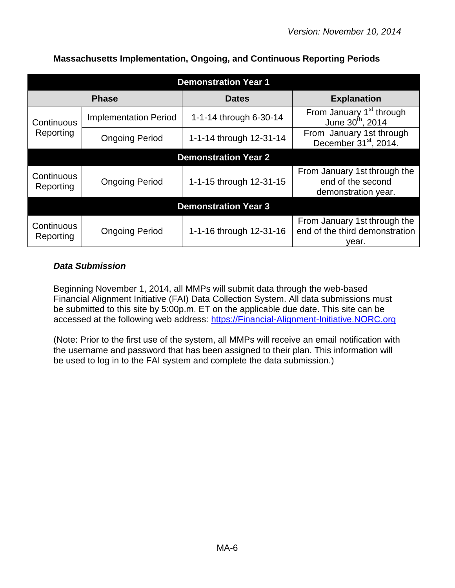| <b>Demonstration Year 1</b> |                              |                             |                                                                          |
|-----------------------------|------------------------------|-----------------------------|--------------------------------------------------------------------------|
|                             | <b>Phase</b>                 | <b>Dates</b>                | <b>Explanation</b>                                                       |
| Continuous                  | <b>Implementation Period</b> | 1-1-14 through 6-30-14      | From January 1 <sup>st</sup> through<br>June 30 <sup>th</sup> , 2014     |
| Reporting                   | <b>Ongoing Period</b>        | 1-1-14 through 12-31-14     | From January 1st through<br>December 31 <sup>st</sup> , 2014.            |
|                             |                              | <b>Demonstration Year 2</b> |                                                                          |
| Continuous<br>Reporting     | <b>Ongoing Period</b>        | 1-1-15 through 12-31-15     | From January 1st through the<br>end of the second<br>demonstration year. |
| <b>Demonstration Year 3</b> |                              |                             |                                                                          |
| Continuous<br>Reporting     | <b>Ongoing Period</b>        | 1-1-16 through 12-31-16     | From January 1st through the<br>end of the third demonstration<br>year.  |

## **Massachusetts Implementation, Ongoing, and Continuous Reporting Periods**

## <span id="page-5-0"></span>*Data Submission*

Beginning November 1, 2014, all MMPs will submit data through the web-based Financial Alignment Initiative (FAI) Data Collection System. All data submissions must be submitted to this site by 5:00p.m. ET on the applicable due date. This site can be accessed at the following web address: [https://Financial-Alignment-Initiative.NORC.org](https://financial-alignment-initiative.norc.org/) 

(Note: Prior to the first use of the system, all MMPs will receive an email notification with the username and password that has been assigned to their plan. This information will be used to log in to the FAI system and complete the data submission.)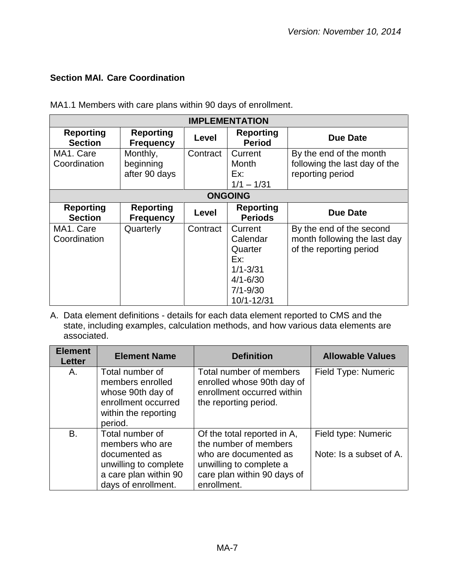## <span id="page-6-0"></span>**Section MAI. Care Coordination**

MA1.1 Members with care plans within 90 days of enrollment.

| <b>IMPLEMENTATION</b>              |                                        |          |                                                                                                     |                                                                                     |
|------------------------------------|----------------------------------------|----------|-----------------------------------------------------------------------------------------------------|-------------------------------------------------------------------------------------|
| <b>Reporting</b><br><b>Section</b> | <b>Reporting</b><br><b>Frequency</b>   | Level    | <b>Reporting</b><br><b>Period</b>                                                                   | Due Date                                                                            |
| MA1. Care<br>Coordination          | Monthly,<br>beginning<br>after 90 days | Contract | Current<br>Month<br>Ex:<br>$1/1 - 1/31$                                                             | By the end of the month<br>following the last day of the<br>reporting period        |
|                                    |                                        |          | <b>ONGOING</b>                                                                                      |                                                                                     |
| <b>Reporting</b><br><b>Section</b> | <b>Reporting</b><br><b>Frequency</b>   | Level    | <b>Reporting</b><br><b>Periods</b>                                                                  | <b>Due Date</b>                                                                     |
| MA1. Care<br>Coordination          | Quarterly                              | Contract | Current<br>Calendar<br>Quarter<br>Ex:<br>$1/1 - 3/31$<br>$4/1 - 6/30$<br>$7/1 - 9/30$<br>10/1-12/31 | By the end of the second<br>month following the last day<br>of the reporting period |

| <b>Element</b><br><b>Letter</b> | <b>Element Name</b>                                                                                                          | <b>Definition</b>                                                                                                                                      | <b>Allowable Values</b>                        |
|---------------------------------|------------------------------------------------------------------------------------------------------------------------------|--------------------------------------------------------------------------------------------------------------------------------------------------------|------------------------------------------------|
| Α.                              | Total number of<br>members enrolled<br>whose 90th day of<br>enrollment occurred<br>within the reporting<br>period.           | Total number of members<br>enrolled whose 90th day of<br>enrollment occurred within<br>the reporting period.                                           | Field Type: Numeric                            |
| <b>B.</b>                       | Total number of<br>members who are<br>documented as<br>unwilling to complete<br>a care plan within 90<br>days of enrollment. | Of the total reported in A,<br>the number of members<br>who are documented as<br>unwilling to complete a<br>care plan within 90 days of<br>enrollment. | Field type: Numeric<br>Note: Is a subset of A. |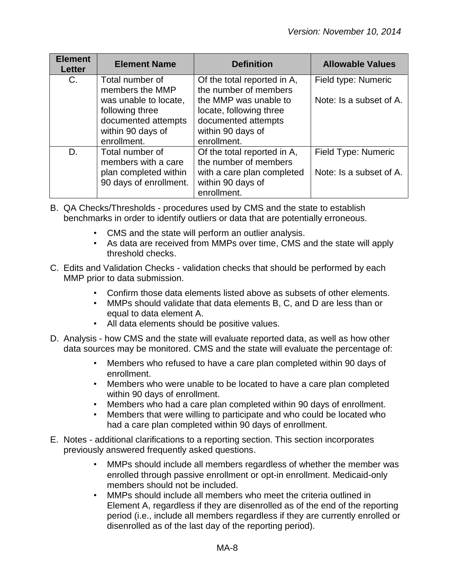| <b>Element</b><br><b>Letter</b> | <b>Element Name</b>                                                                       | <b>Definition</b>                                                                                       | <b>Allowable Values</b>                        |
|---------------------------------|-------------------------------------------------------------------------------------------|---------------------------------------------------------------------------------------------------------|------------------------------------------------|
| $C_{\cdot}$                     | Total number of<br>members the MMP<br>was unable to locate,                               | Of the total reported in A,<br>the number of members<br>the MMP was unable to                           | Field type: Numeric<br>Note: Is a subset of A. |
|                                 | following three<br>documented attempts<br>within 90 days of<br>enrollment.                | locate, following three<br>documented attempts<br>within 90 days of<br>enrollment.                      |                                                |
| D.                              | Total number of<br>members with a care<br>plan completed within<br>90 days of enrollment. | Of the total reported in A,<br>the number of members<br>with a care plan completed<br>within 90 days of | Field Type: Numeric<br>Note: Is a subset of A. |
|                                 |                                                                                           | enrollment.                                                                                             |                                                |

- B. QA Checks/Thresholds procedures used by CMS and the state to establish benchmarks in order to identify outliers or data that are potentially erroneous.
	- CMS and the state will perform an outlier analysis.
	- As data are received from MMPs over time, CMS and the state will apply threshold checks.
- C. Edits and Validation Checks validation checks that should be performed by each MMP prior to data submission.
	- Confirm those data elements listed above as subsets of other elements.
	- MMPs should validate that data elements B, C, and D are less than or equal to data element A.
	- All data elements should be positive values.
- D. Analysis how CMS and the state will evaluate reported data, as well as how other data sources may be monitored. CMS and the state will evaluate the percentage of:
	- Members who refused to have a care plan completed within 90 days of enrollment.
	- Members who were unable to be located to have a care plan completed within 90 days of enrollment.
	- Members who had a care plan completed within 90 days of enrollment.
	- Members that were willing to participate and who could be located who had a care plan completed within 90 days of enrollment.
- E. Notes additional clarifications to a reporting section. This section incorporates previously answered frequently asked questions.
	- MMPs should include all members regardless of whether the member was enrolled through passive enrollment or opt-in enrollment. Medicaid-only members should not be included.
	- MMPs should include all members who meet the criteria outlined in Element A, regardless if they are disenrolled as of the end of the reporting period (i.e., include all members regardless if they are currently enrolled or disenrolled as of the last day of the reporting period).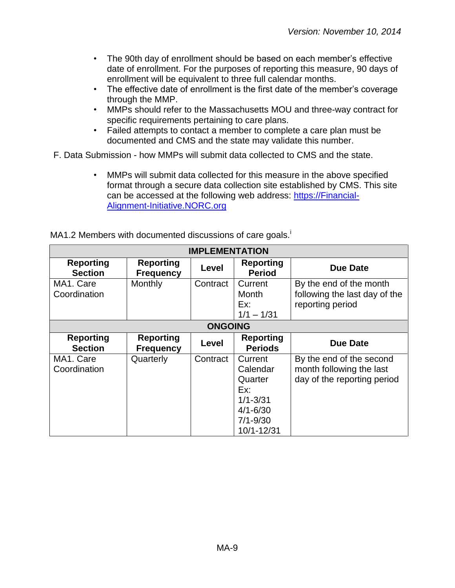- The 90th day of enrollment should be based on each member's effective date of enrollment. For the purposes of reporting this measure, 90 days of enrollment will be equivalent to three full calendar months.
- The effective date of enrollment is the first date of the member's coverage through the MMP.
- MMPs should refer to the Massachusetts MOU and three-way contract for specific requirements pertaining to care plans.
- Failed attempts to contact a member to complete a care plan must be documented and CMS and the state may validate this number.

F. Data Submission - how MMPs will submit data collected to CMS and the state.

• MMPs will submit data collected for this measure in the above specified format through a secure data collection site established by CMS. This site can be accessed at the following web address: [https://Financial-](https://financial-alignment-initiative.norc.org/)[Alignment-Initiative.NORC.org](https://financial-alignment-initiative.norc.org/) 

| <b>IMPLEMENTATION</b>              |                                      |                |                                                                                                     |                                                                                     |
|------------------------------------|--------------------------------------|----------------|-----------------------------------------------------------------------------------------------------|-------------------------------------------------------------------------------------|
| <b>Reporting</b><br><b>Section</b> | <b>Reporting</b><br><b>Frequency</b> | Level          | <b>Reporting</b><br><b>Period</b>                                                                   | <b>Due Date</b>                                                                     |
| MA1. Care<br>Coordination          | Monthly                              | Contract       | Current<br>Month<br>Ex:<br>$1/1 - 1/31$                                                             | By the end of the month<br>following the last day of the<br>reporting period        |
|                                    |                                      | <b>ONGOING</b> |                                                                                                     |                                                                                     |
| <b>Reporting</b><br><b>Section</b> | <b>Reporting</b><br><b>Frequency</b> | Level          | <b>Reporting</b><br><b>Periods</b>                                                                  | <b>Due Date</b>                                                                     |
| MA1. Care<br>Coordination          | Quarterly                            | Contract       | Current<br>Calendar<br>Quarter<br>Ex:<br>$1/1 - 3/31$<br>$4/1 - 6/30$<br>$7/1 - 9/30$<br>10/1-12/31 | By the end of the second<br>month following the last<br>day of the reporting period |

MA1.2 Members with documented discussions of care goals.<sup>1</sup>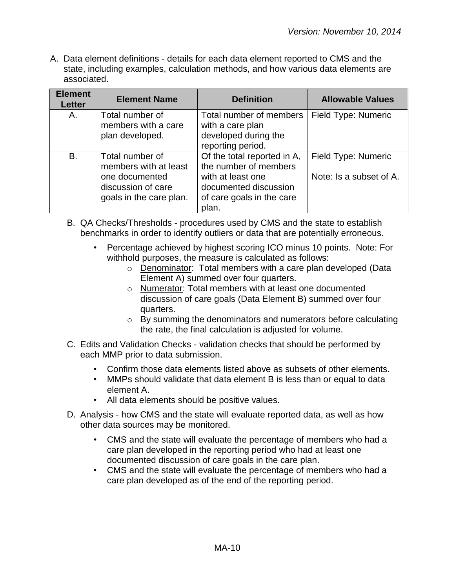| <b>Element</b><br><b>Letter</b> | <b>Element Name</b>                                                                                         | <b>Definition</b>                                                                                                                        | <b>Allowable Values</b>                        |
|---------------------------------|-------------------------------------------------------------------------------------------------------------|------------------------------------------------------------------------------------------------------------------------------------------|------------------------------------------------|
| Α.                              | Total number of<br>members with a care<br>plan developed.                                                   | Total number of members<br>with a care plan<br>developed during the<br>reporting period.                                                 | Field Type: Numeric                            |
| <b>B.</b>                       | Total number of<br>members with at least<br>one documented<br>discussion of care<br>goals in the care plan. | Of the total reported in A,<br>the number of members<br>with at least one<br>documented discussion<br>of care goals in the care<br>plan. | Field Type: Numeric<br>Note: Is a subset of A. |

- B. QA Checks/Thresholds procedures used by CMS and the state to establish benchmarks in order to identify outliers or data that are potentially erroneous.
	- Percentage achieved by highest scoring ICO minus 10 points. Note: For withhold purposes, the measure is calculated as follows:
		- o Denominator: Total members with a care plan developed (Data Element A) summed over four quarters.
		- o Numerator: Total members with at least one documented discussion of care goals (Data Element B) summed over four quarters.
		- o By summing the denominators and numerators before calculating the rate, the final calculation is adjusted for volume.
- C. Edits and Validation Checks validation checks that should be performed by each MMP prior to data submission.
	- Confirm those data elements listed above as subsets of other elements.
	- MMPs should validate that data element B is less than or equal to data element A.
	- All data elements should be positive values.
- D. Analysis how CMS and the state will evaluate reported data, as well as how other data sources may be monitored.
	- CMS and the state will evaluate the percentage of members who had a care plan developed in the reporting period who had at least one documented discussion of care goals in the care plan.
	- CMS and the state will evaluate the percentage of members who had a care plan developed as of the end of the reporting period.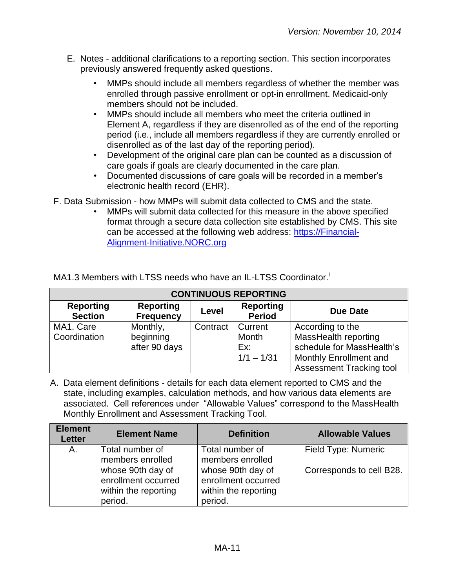- E. Notes additional clarifications to a reporting section. This section incorporates previously answered frequently asked questions.
	- MMPs should include all members regardless of whether the member was enrolled through passive enrollment or opt-in enrollment. Medicaid-only members should not be included.
	- MMPs should include all members who meet the criteria outlined in Element A, regardless if they are disenrolled as of the end of the reporting period (i.e., include all members regardless if they are currently enrolled or disenrolled as of the last day of the reporting period).
	- Development of the original care plan can be counted as a discussion of care goals if goals are clearly documented in the care plan.
	- Documented discussions of care goals will be recorded in a member's electronic health record (EHR).
- F. Data Submission how MMPs will submit data collected to CMS and the state.
	- MMPs will submit data collected for this measure in the above specified format through a secure data collection site established by CMS. This site can be accessed at the following web address: [https://Financial-](https://financial-alignment-initiative.norc.org/)[Alignment-Initiative.NORC.org](https://financial-alignment-initiative.norc.org/)

| <b>CONTINUOUS REPORTING</b>        |                                        |          |                                         |                                                                                                                                    |
|------------------------------------|----------------------------------------|----------|-----------------------------------------|------------------------------------------------------------------------------------------------------------------------------------|
| <b>Reporting</b><br><b>Section</b> | <b>Reporting</b><br><b>Frequency</b>   | Level    | <b>Reporting</b><br><b>Period</b>       | Due Date                                                                                                                           |
| MA1. Care<br>Coordination          | Monthly,<br>beginning<br>after 90 days | Contract | Current<br>Month<br>Ex:<br>$1/1 - 1/31$ | According to the<br>MassHealth reporting<br>schedule for MassHealth's<br>Monthly Enrollment and<br><b>Assessment Tracking tool</b> |

A. Data element definitions - details for each data element reported to CMS and the state, including examples, calculation methods, and how various data elements are associated. Cell references under "Allowable Values" correspond to the MassHealth Monthly Enrollment and Assessment Tracking Tool.

| <b>Element</b><br><b>Letter</b> | <b>Element Name</b>                                                         | <b>Definition</b>                                                           | <b>Allowable Values</b>  |
|---------------------------------|-----------------------------------------------------------------------------|-----------------------------------------------------------------------------|--------------------------|
| A.                              | Total number of<br>members enrolled                                         | Total number of<br>members enrolled                                         | Field Type: Numeric      |
|                                 | whose 90th day of<br>enrollment occurred<br>within the reporting<br>period. | whose 90th day of<br>enrollment occurred<br>within the reporting<br>period. | Corresponds to cell B28. |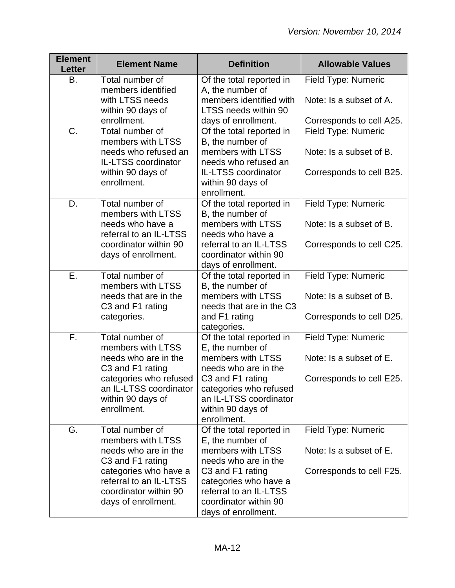| <b>Element</b><br><b>Letter</b> | <b>Element Name</b>                                                                                                                                                                 | <b>Definition</b>                                                                                                                                                                                                    | <b>Allowable Values</b>                                                           |
|---------------------------------|-------------------------------------------------------------------------------------------------------------------------------------------------------------------------------------|----------------------------------------------------------------------------------------------------------------------------------------------------------------------------------------------------------------------|-----------------------------------------------------------------------------------|
| B.                              | Total number of<br>members identified<br>with LTSS needs                                                                                                                            | Of the total reported in<br>A, the number of<br>members identified with                                                                                                                                              | Field Type: Numeric<br>Note: Is a subset of A.                                    |
|                                 | within 90 days of<br>enrollment.                                                                                                                                                    | LTSS needs within 90<br>days of enrollment.                                                                                                                                                                          | Corresponds to cell A25.                                                          |
| C.                              | Total number of<br>members with LTSS<br>needs who refused an<br>IL-LTSS coordinator<br>within 90 days of<br>enrollment.                                                             | Of the total reported in<br>B, the number of<br>members with LTSS<br>needs who refused an<br><b>IL-LTSS coordinator</b><br>within 90 days of                                                                         | <b>Field Type: Numeric</b><br>Note: Is a subset of B.<br>Corresponds to cell B25. |
| D.                              | Total number of<br>members with LTSS                                                                                                                                                | enrollment.<br>Of the total reported in<br>B, the number of                                                                                                                                                          | Field Type: Numeric                                                               |
|                                 | needs who have a<br>referral to an IL-LTSS<br>coordinator within 90<br>days of enrollment.                                                                                          | members with LTSS<br>needs who have a<br>referral to an IL-LTSS<br>coordinator within 90<br>days of enrollment.                                                                                                      | Note: Is a subset of B.<br>Corresponds to cell C25.                               |
| Ε.                              | Total number of<br>members with LTSS<br>needs that are in the<br>C3 and F1 rating<br>categories.                                                                                    | Of the total reported in<br>B, the number of<br>members with LTSS<br>needs that are in the C3<br>and F1 rating                                                                                                       | Field Type: Numeric<br>Note: Is a subset of B.<br>Corresponds to cell D25.        |
| F.                              | Total number of<br>members with LTSS<br>needs who are in the<br>C3 and F1 rating<br>categories who refused<br>an IL-LTSS coordinator<br>within 90 days of<br>enrollment.            | categories.<br>Of the total reported in<br>E, the number of<br>members with LTSS<br>needs who are in the<br>C3 and F1 rating<br>categories who refused<br>an IL-LTSS coordinator<br>within 90 days of<br>enrollment. | Field Type: Numeric<br>Note: Is a subset of E.<br>Corresponds to cell E25.        |
| G.                              | Total number of<br>members with LTSS<br>needs who are in the<br>C3 and F1 rating<br>categories who have a<br>referral to an IL-LTSS<br>coordinator within 90<br>days of enrollment. | Of the total reported in<br>E, the number of<br>members with LTSS<br>needs who are in the<br>C3 and F1 rating<br>categories who have a<br>referral to an IL-LTSS<br>coordinator within 90<br>days of enrollment.     | Field Type: Numeric<br>Note: Is a subset of E.<br>Corresponds to cell F25.        |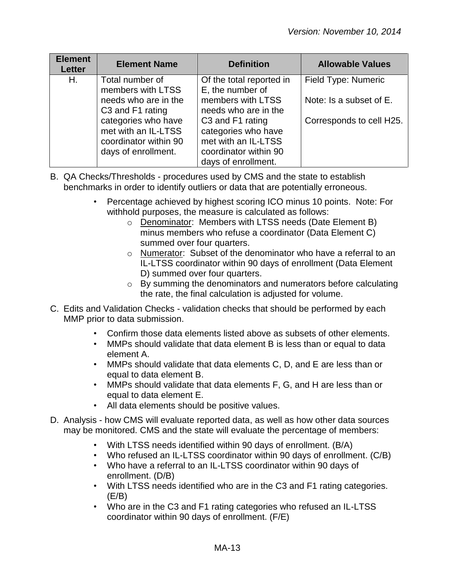| <b>Element</b><br><b>Letter</b> | <b>Element Name</b>                                                                        | <b>Definition</b>                                                                                              | <b>Allowable Values</b>  |
|---------------------------------|--------------------------------------------------------------------------------------------|----------------------------------------------------------------------------------------------------------------|--------------------------|
| Η.                              | Total number of<br>members with LTSS                                                       | Of the total reported in<br>E, the number of                                                                   | Field Type: Numeric      |
|                                 | needs who are in the<br>C3 and F1 rating                                                   | members with LTSS<br>needs who are in the                                                                      | Note: Is a subset of E.  |
|                                 | categories who have<br>met with an IL-LTSS<br>coordinator within 90<br>days of enrollment. | C3 and F1 rating<br>categories who have<br>met with an IL-LTSS<br>coordinator within 90<br>days of enrollment. | Corresponds to cell H25. |

- B. QA Checks/Thresholds procedures used by CMS and the state to establish benchmarks in order to identify outliers or data that are potentially erroneous.
	- Percentage achieved by highest scoring ICO minus 10 points. Note: For withhold purposes, the measure is calculated as follows:
		- o Denominator: Members with LTSS needs (Date Element B) minus members who refuse a coordinator (Data Element C) summed over four quarters.
		- o Numerator: Subset of the denominator who have a referral to an IL-LTSS coordinator within 90 days of enrollment (Data Element D) summed over four quarters.
		- o By summing the denominators and numerators before calculating the rate, the final calculation is adjusted for volume.
- C. Edits and Validation Checks validation checks that should be performed by each MMP prior to data submission.
	- Confirm those data elements listed above as subsets of other elements.
	- MMPs should validate that data element B is less than or equal to data element A.
	- MMPs should validate that data elements C, D, and E are less than or equal to data element B.
	- MMPs should validate that data elements F, G, and H are less than or equal to data element E.
	- All data elements should be positive values.
- D. Analysis how CMS will evaluate reported data, as well as how other data sources may be monitored. CMS and the state will evaluate the percentage of members:
	- With LTSS needs identified within 90 days of enrollment. (B/A)
	- Who refused an IL-LTSS coordinator within 90 days of enrollment. (C/B)
	- Who have a referral to an IL-LTSS coordinator within 90 days of enrollment. (D/B)
	- With LTSS needs identified who are in the C3 and F1 rating categories. (E/B)
	- Who are in the C3 and F1 rating categories who refused an IL-LTSS coordinator within 90 days of enrollment. (F/E)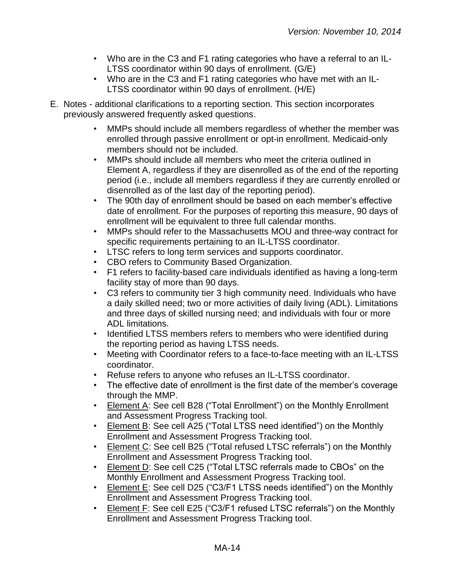- Who are in the C3 and F1 rating categories who have a referral to an IL-LTSS coordinator within 90 days of enrollment. (G/E)
- Who are in the C3 and F1 rating categories who have met with an IL-LTSS coordinator within 90 days of enrollment. (H/E)
- E. Notes additional clarifications to a reporting section. This section incorporates previously answered frequently asked questions.
	- MMPs should include all members regardless of whether the member was enrolled through passive enrollment or opt-in enrollment. Medicaid-only members should not be included.
	- MMPs should include all members who meet the criteria outlined in Element A, regardless if they are disenrolled as of the end of the reporting period (i.e., include all members regardless if they are currently enrolled or disenrolled as of the last day of the reporting period).
	- The 90th day of enrollment should be based on each member's effective date of enrollment. For the purposes of reporting this measure, 90 days of enrollment will be equivalent to three full calendar months.
	- MMPs should refer to the Massachusetts MOU and three-way contract for specific requirements pertaining to an IL-LTSS coordinator.
	- LTSC refers to long term services and supports coordinator.
	- CBO refers to Community Based Organization.
	- F1 refers to facility-based care individuals identified as having a long-term facility stay of more than 90 days.
	- C3 refers to community tier 3 high community need. Individuals who have a daily skilled need; two or more activities of daily living (ADL). Limitations and three days of skilled nursing need; and individuals with four or more ADL limitations.
	- Identified LTSS members refers to members who were identified during the reporting period as having LTSS needs.
	- Meeting with Coordinator refers to a face-to-face meeting with an IL-LTSS coordinator.
	- Refuse refers to anyone who refuses an IL-LTSS coordinator.
	- The effective date of enrollment is the first date of the member's coverage through the MMP.
	- Element A: See cell B28 ("Total Enrollment") on the Monthly Enrollment and Assessment Progress Tracking tool.
	- Element B: See cell A25 ("Total LTSS need identified") on the Monthly Enrollment and Assessment Progress Tracking tool.
	- Element C: See cell B25 ("Total refused LTSC referrals") on the Monthly Enrollment and Assessment Progress Tracking tool.
	- Element D: See cell C25 ("Total LTSC referrals made to CBOs" on the Monthly Enrollment and Assessment Progress Tracking tool.
	- Element E: See cell D25 ("C3/F1 LTSS needs identified") on the Monthly Enrollment and Assessment Progress Tracking tool.
	- Element F: See cell E25 ("C3/F1 refused LTSC referrals") on the Monthly Enrollment and Assessment Progress Tracking tool.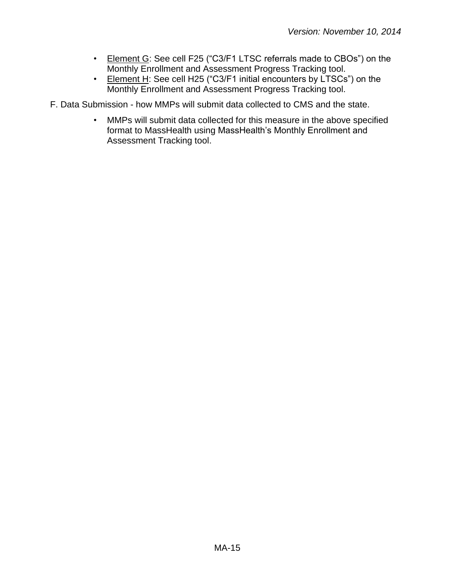- Element G: See cell F25 ("C3/F1 LTSC referrals made to CBOs") on the Monthly Enrollment and Assessment Progress Tracking tool.
- Element H: See cell H25 ("C3/F1 initial encounters by LTSCs") on the Monthly Enrollment and Assessment Progress Tracking tool.

F. Data Submission - how MMPs will submit data collected to CMS and the state.

• MMPs will submit data collected for this measure in the above specified format to MassHealth using MassHealth's Monthly Enrollment and Assessment Tracking tool.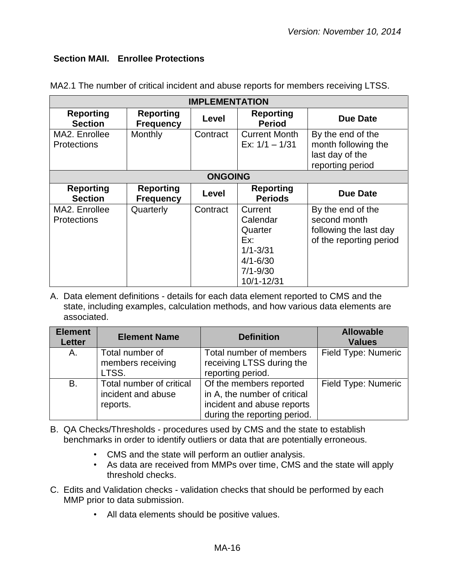#### <span id="page-15-0"></span>**Section MAII. Enrollee Protections**

| <b>IMPLEMENTATION</b>               |                                      |          |                                                                                                     |                                                                                        |  |
|-------------------------------------|--------------------------------------|----------|-----------------------------------------------------------------------------------------------------|----------------------------------------------------------------------------------------|--|
| <b>Reporting</b><br><b>Section</b>  | <b>Reporting</b><br><b>Frequency</b> | Level    | <b>Reporting</b><br><b>Period</b>                                                                   | Due Date                                                                               |  |
| MA2. Enrollee<br><b>Protections</b> | Monthly                              | Contract | <b>Current Month</b><br>Ex: $1/1 - 1/31$                                                            | By the end of the<br>month following the<br>last day of the<br>reporting period        |  |
|                                     | <b>ONGOING</b>                       |          |                                                                                                     |                                                                                        |  |
| <b>Reporting</b><br><b>Section</b>  | <b>Reporting</b><br><b>Frequency</b> | Level    | <b>Reporting</b><br><b>Periods</b>                                                                  | <b>Due Date</b>                                                                        |  |
| MA2. Enrollee<br><b>Protections</b> | Quarterly                            | Contract | Current<br>Calendar<br>Quarter<br>Ex:<br>$1/1 - 3/31$<br>$4/1 - 6/30$<br>$7/1 - 9/30$<br>10/1-12/31 | By the end of the<br>second month<br>following the last day<br>of the reporting period |  |

MA2.1 The number of critical incident and abuse reports for members receiving LTSS.

| <b>Element</b><br><b>Letter</b> | <b>Element Name</b>                                        | <b>Definition</b>                                                                                                     | <b>Allowable</b><br><b>Values</b> |
|---------------------------------|------------------------------------------------------------|-----------------------------------------------------------------------------------------------------------------------|-----------------------------------|
| Α.                              | Total number of<br>members receiving<br>LTSS.              | Total number of members<br>receiving LTSS during the<br>reporting period.                                             | Field Type: Numeric               |
| <b>B.</b>                       | Total number of critical<br>incident and abuse<br>reports. | Of the members reported<br>in A, the number of critical<br>incident and abuse reports<br>during the reporting period. | Field Type: Numeric               |

- B. QA Checks/Thresholds procedures used by CMS and the state to establish benchmarks in order to identify outliers or data that are potentially erroneous.
	- CMS and the state will perform an outlier analysis.
	- As data are received from MMPs over time, CMS and the state will apply threshold checks.
- C. Edits and Validation checks validation checks that should be performed by each MMP prior to data submission.
	- All data elements should be positive values.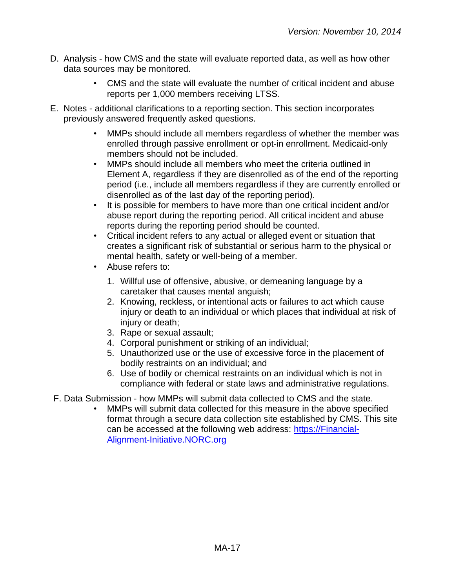- D. Analysis how CMS and the state will evaluate reported data, as well as how other data sources may be monitored.
	- CMS and the state will evaluate the number of critical incident and abuse reports per 1,000 members receiving LTSS.
- E. Notes additional clarifications to a reporting section. This section incorporates previously answered frequently asked questions.
	- MMPs should include all members regardless of whether the member was enrolled through passive enrollment or opt-in enrollment. Medicaid-only members should not be included.
	- MMPs should include all members who meet the criteria outlined in Element A, regardless if they are disenrolled as of the end of the reporting period (i.e., include all members regardless if they are currently enrolled or disenrolled as of the last day of the reporting period).
	- It is possible for members to have more than one critical incident and/or abuse report during the reporting period. All critical incident and abuse reports during the reporting period should be counted.
	- Critical incident refers to any actual or alleged event or situation that creates a significant risk of substantial or serious harm to the physical or mental health, safety or well-being of a member.
	- Abuse refers to:
		- 1. Willful use of offensive, abusive, or demeaning language by a caretaker that causes mental anguish;
		- 2. Knowing, reckless, or intentional acts or failures to act which cause injury or death to an individual or which places that individual at risk of injury or death;
		- 3. Rape or sexual assault;
		- 4. Corporal punishment or striking of an individual;
		- 5. Unauthorized use or the use of excessive force in the placement of bodily restraints on an individual; and
		- 6. Use of bodily or chemical restraints on an individual which is not in compliance with federal or state laws and administrative regulations.
- F. Data Submission how MMPs will submit data collected to CMS and the state.
	- MMPs will submit data collected for this measure in the above specified format through a secure data collection site established by CMS. This site can be accessed at the following web address: [https://Financial-](https://financial-alignment-initiative.norc.org/)[Alignment-Initiative.NORC.org](https://financial-alignment-initiative.norc.org/)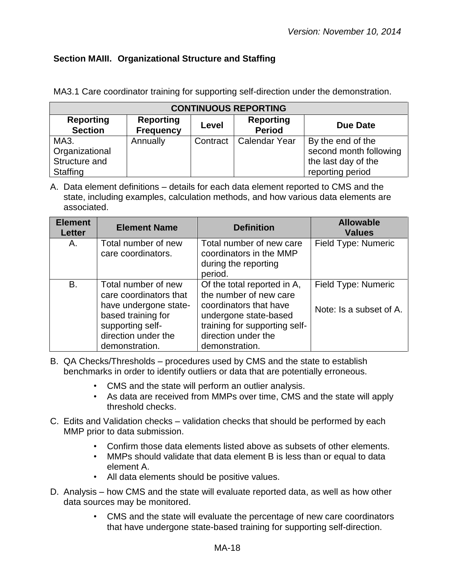## <span id="page-17-0"></span>**Section MAIII. Organizational Structure and Staffing**

MA3.1 Care coordinator training for supporting self-direction under the demonstration.

|                                    | <b>CONTINUOUS REPORTING</b>          |       |                                   |                        |  |
|------------------------------------|--------------------------------------|-------|-----------------------------------|------------------------|--|
| <b>Reporting</b><br><b>Section</b> | <b>Reporting</b><br><b>Frequency</b> | Level | <b>Reporting</b><br><b>Period</b> | <b>Due Date</b>        |  |
| MA3.                               | Annually                             |       | Contract   Calendar Year          | By the end of the      |  |
| Organizational                     |                                      |       |                                   | second month following |  |
| Structure and                      |                                      |       |                                   | the last day of the    |  |
| Staffing                           |                                      |       |                                   | reporting period       |  |

A. Data element definitions – details for each data element reported to CMS and the state, including examples, calculation methods, and how various data elements are associated.

| <b>Element</b><br><b>Letter</b> | <b>Element Name</b>                                                                                                                                       | <b>Definition</b>                                                                                                                                                                  | <b>Allowable</b><br><b>Values</b>              |
|---------------------------------|-----------------------------------------------------------------------------------------------------------------------------------------------------------|------------------------------------------------------------------------------------------------------------------------------------------------------------------------------------|------------------------------------------------|
| Α.                              | Total number of new<br>care coordinators.                                                                                                                 | Total number of new care<br>coordinators in the MMP<br>during the reporting<br>period.                                                                                             | Field Type: Numeric                            |
| B.                              | Total number of new<br>care coordinators that<br>have undergone state-<br>based training for<br>supporting self-<br>direction under the<br>demonstration. | Of the total reported in A,<br>the number of new care<br>coordinators that have<br>undergone state-based<br>training for supporting self-<br>direction under the<br>demonstration. | Field Type: Numeric<br>Note: Is a subset of A. |

B. QA Checks/Thresholds – procedures used by CMS and the state to establish benchmarks in order to identify outliers or data that are potentially erroneous.

- CMS and the state will perform an outlier analysis.
- As data are received from MMPs over time, CMS and the state will apply threshold checks.
- C. Edits and Validation checks validation checks that should be performed by each MMP prior to data submission.
	- Confirm those data elements listed above as subsets of other elements.
	- MMPs should validate that data element B is less than or equal to data element A.
	- All data elements should be positive values.
- D. Analysis how CMS and the state will evaluate reported data, as well as how other data sources may be monitored.
	- CMS and the state will evaluate the percentage of new care coordinators that have undergone state-based training for supporting self-direction.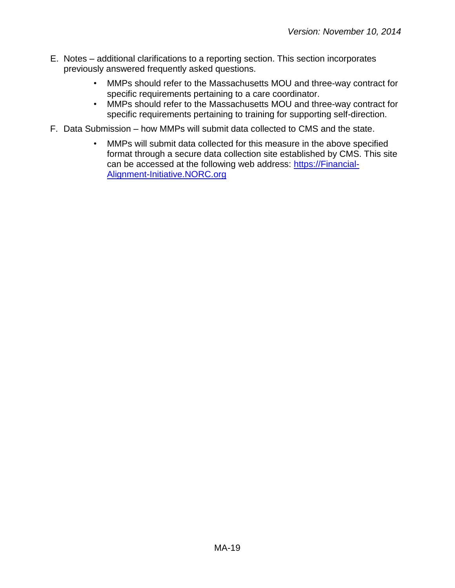- E. Notes additional clarifications to a reporting section. This section incorporates previously answered frequently asked questions.
	- MMPs should refer to the Massachusetts MOU and three-way contract for specific requirements pertaining to a care coordinator.
	- MMPs should refer to the Massachusetts MOU and three-way contract for specific requirements pertaining to training for supporting self-direction.
- F. Data Submission how MMPs will submit data collected to CMS and the state.
	- MMPs will submit data collected for this measure in the above specified format through a secure data collection site established by CMS. This site can be accessed at the following web address: [https://Financial-](https://financial-alignment-initiative.norc.org/)[Alignment-Initiative.NORC.org](https://financial-alignment-initiative.norc.org/)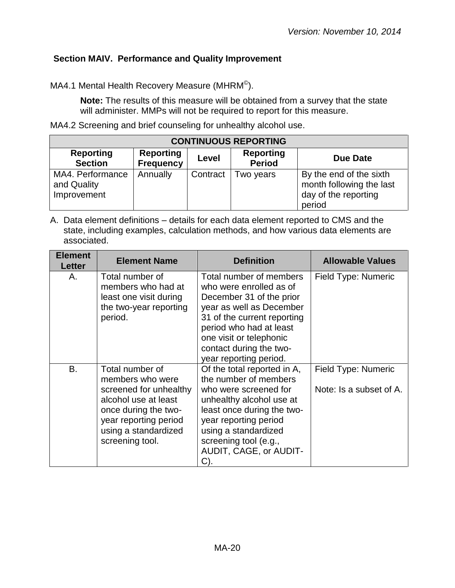## <span id="page-19-0"></span>**Section MAIV. Performance and Quality Improvement**

MA4.1 Mental Health Recovery Measure (MHRM $^{\copyright}$ ).

**Note:** The results of this measure will be obtained from a survey that the state will administer. MMPs will not be required to report for this measure.

MA4.2 Screening and brief counseling for unhealthy alcohol use.

|                                                | <b>CONTINUOUS REPORTING</b>          |          |                                   |                                                                                       |  |
|------------------------------------------------|--------------------------------------|----------|-----------------------------------|---------------------------------------------------------------------------------------|--|
| <b>Reporting</b><br><b>Section</b>             | <b>Reporting</b><br><b>Frequency</b> | Level    | <b>Reporting</b><br><b>Period</b> | Due Date                                                                              |  |
| MA4. Performance<br>and Quality<br>Improvement | Annually                             | Contract | Two years                         | By the end of the sixth<br>month following the last<br>day of the reporting<br>period |  |

| <b>Element</b><br>Letter | <b>Element Name</b>                                                                                                                                                               | <b>Definition</b>                                                                                                                                                                                                                                    | <b>Allowable Values</b>                        |
|--------------------------|-----------------------------------------------------------------------------------------------------------------------------------------------------------------------------------|------------------------------------------------------------------------------------------------------------------------------------------------------------------------------------------------------------------------------------------------------|------------------------------------------------|
| А.                       | Total number of<br>members who had at<br>least one visit during<br>the two-year reporting<br>period.                                                                              | Total number of members<br>who were enrolled as of<br>December 31 of the prior<br>year as well as December<br>31 of the current reporting<br>period who had at least<br>one visit or telephonic<br>contact during the two-<br>year reporting period. | Field Type: Numeric                            |
| B.                       | Total number of<br>members who were<br>screened for unhealthy<br>alcohol use at least<br>once during the two-<br>year reporting period<br>using a standardized<br>screening tool. | Of the total reported in A,<br>the number of members<br>who were screened for<br>unhealthy alcohol use at<br>least once during the two-<br>year reporting period<br>using a standardized<br>screening tool (e.g.,<br>AUDIT, CAGE, or AUDIT-<br>C).   | Field Type: Numeric<br>Note: Is a subset of A. |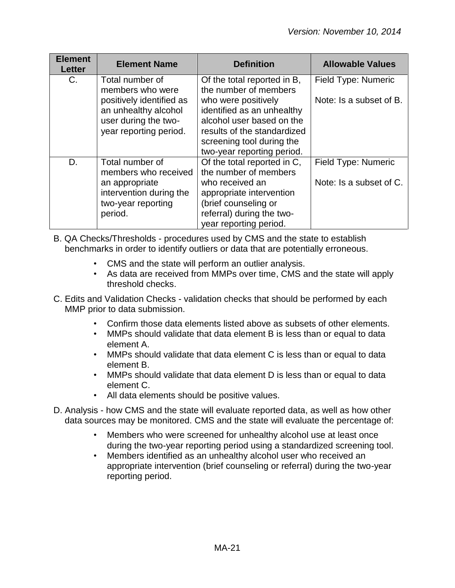| <b>Element</b><br><b>Letter</b> | <b>Element Name</b>                                                        | <b>Definition</b>                                                                                                                                 | <b>Allowable Values</b>                        |
|---------------------------------|----------------------------------------------------------------------------|---------------------------------------------------------------------------------------------------------------------------------------------------|------------------------------------------------|
| C.                              | Total number of<br>members who were<br>positively identified as            | Of the total reported in B,<br>the number of members<br>who were positively                                                                       | Field Type: Numeric<br>Note: Is a subset of B. |
|                                 | an unhealthy alcohol<br>user during the two-<br>year reporting period.     | identified as an unhealthy<br>alcohol user based on the<br>results of the standardized<br>screening tool during the<br>two-year reporting period. |                                                |
| D.                              | Total number of<br>members who received                                    | Of the total reported in C,<br>the number of members                                                                                              | Field Type: Numeric                            |
|                                 | an appropriate<br>intervention during the<br>two-year reporting<br>period. | who received an<br>appropriate intervention<br>(brief counseling or<br>referral) during the two-<br>year reporting period.                        | Note: Is a subset of C.                        |

- B. QA Checks/Thresholds procedures used by CMS and the state to establish benchmarks in order to identify outliers or data that are potentially erroneous.
	- CMS and the state will perform an outlier analysis.
	- As data are received from MMPs over time, CMS and the state will apply threshold checks.
- C. Edits and Validation Checks validation checks that should be performed by each MMP prior to data submission.
	- Confirm those data elements listed above as subsets of other elements.
	- MMPs should validate that data element B is less than or equal to data element A.
	- MMPs should validate that data element C is less than or equal to data element B.
	- MMPs should validate that data element D is less than or equal to data element C.
	- All data elements should be positive values.
- D. Analysis how CMS and the state will evaluate reported data, as well as how other data sources may be monitored. CMS and the state will evaluate the percentage of:
	- Members who were screened for unhealthy alcohol use at least once during the two-year reporting period using a standardized screening tool.
	- Members identified as an unhealthy alcohol user who received an appropriate intervention (brief counseling or referral) during the two-year reporting period.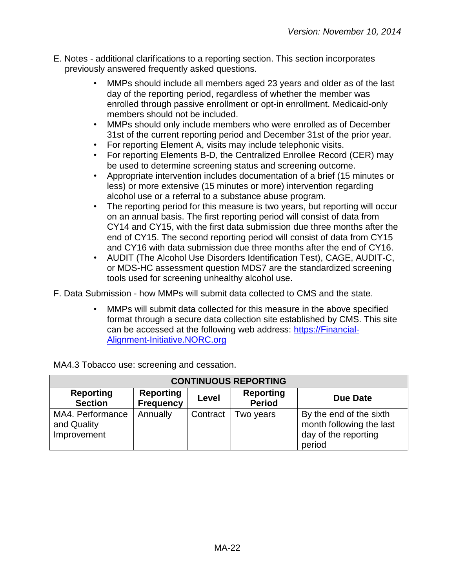- E. Notes additional clarifications to a reporting section. This section incorporates previously answered frequently asked questions.
	- MMPs should include all members aged 23 years and older as of the last day of the reporting period, regardless of whether the member was enrolled through passive enrollment or opt-in enrollment. Medicaid-only members should not be included.
	- MMPs should only include members who were enrolled as of December 31st of the current reporting period and December 31st of the prior year.
	- For reporting Element A, visits may include telephonic visits.
	- For reporting Elements B-D, the Centralized Enrollee Record (CER) may be used to determine screening status and screening outcome.
	- Appropriate intervention includes documentation of a brief (15 minutes or less) or more extensive (15 minutes or more) intervention regarding alcohol use or a referral to a substance abuse program.
	- The reporting period for this measure is two years, but reporting will occur on an annual basis. The first reporting period will consist of data from CY14 and CY15, with the first data submission due three months after the end of CY15. The second reporting period will consist of data from CY15 and CY16 with data submission due three months after the end of CY16.
	- AUDIT (The Alcohol Use Disorders Identification Test), CAGE, AUDIT-C, or MDS-HC assessment question MDS7 are the standardized screening tools used for screening unhealthy alcohol use.

F. Data Submission - how MMPs will submit data collected to CMS and the state.

• MMPs will submit data collected for this measure in the above specified format through a secure data collection site established by CMS. This site can be accessed at the following web address: [https://Financial-](https://financial-alignment-initiative.norc.org/)[Alignment-Initiative.NORC.org](https://financial-alignment-initiative.norc.org/) 

MA4.3 Tobacco use: screening and cessation.

|                                                | <b>CONTINUOUS REPORTING</b>          |          |                                   |                                                                                       |
|------------------------------------------------|--------------------------------------|----------|-----------------------------------|---------------------------------------------------------------------------------------|
| <b>Reporting</b><br><b>Section</b>             | <b>Reporting</b><br><b>Frequency</b> | Level    | <b>Reporting</b><br><b>Period</b> | Due Date                                                                              |
| MA4. Performance<br>and Quality<br>Improvement | Annually                             | Contract | Two years                         | By the end of the sixth<br>month following the last<br>day of the reporting<br>period |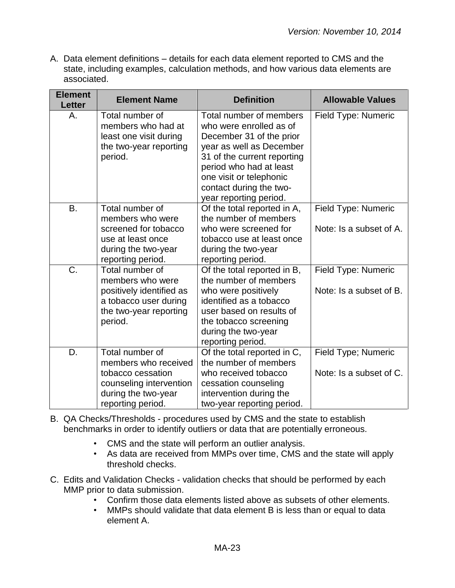| <b>Element</b><br><b>Letter</b> | <b>Element Name</b>                                                                                                                 | <b>Definition</b>                                                                                                                                                                                                                                    | <b>Allowable Values</b>                        |
|---------------------------------|-------------------------------------------------------------------------------------------------------------------------------------|------------------------------------------------------------------------------------------------------------------------------------------------------------------------------------------------------------------------------------------------------|------------------------------------------------|
| Α.                              | Total number of<br>members who had at<br>least one visit during<br>the two-year reporting<br>period.                                | Total number of members<br>who were enrolled as of<br>December 31 of the prior<br>year as well as December<br>31 of the current reporting<br>period who had at least<br>one visit or telephonic<br>contact during the two-<br>year reporting period. | Field Type: Numeric                            |
| B.                              | Total number of<br>members who were<br>screened for tobacco<br>use at least once<br>during the two-year<br>reporting period.        | Of the total reported in A,<br>the number of members<br>who were screened for<br>tobacco use at least once<br>during the two-year<br>reporting period.                                                                                               | Field Type: Numeric<br>Note: Is a subset of A. |
| C.                              | Total number of<br>members who were<br>positively identified as<br>a tobacco user during<br>the two-year reporting<br>period.       | Of the total reported in B,<br>the number of members<br>who were positively<br>identified as a tobacco<br>user based on results of<br>the tobacco screening<br>during the two-year<br>reporting period.                                              | Field Type: Numeric<br>Note: Is a subset of B. |
| D.                              | Total number of<br>members who received<br>tobacco cessation<br>counseling intervention<br>during the two-year<br>reporting period. | Of the total reported in C,<br>the number of members<br>who received tobacco<br>cessation counseling<br>intervention during the<br>two-year reporting period.                                                                                        | Field Type; Numeric<br>Note: Is a subset of C. |

- B. QA Checks/Thresholds procedures used by CMS and the state to establish benchmarks in order to identify outliers or data that are potentially erroneous.
	- CMS and the state will perform an outlier analysis.
	- As data are received from MMPs over time, CMS and the state will apply threshold checks.
- C. Edits and Validation Checks validation checks that should be performed by each MMP prior to data submission.
	- Confirm those data elements listed above as subsets of other elements.
	- MMPs should validate that data element B is less than or equal to data element A.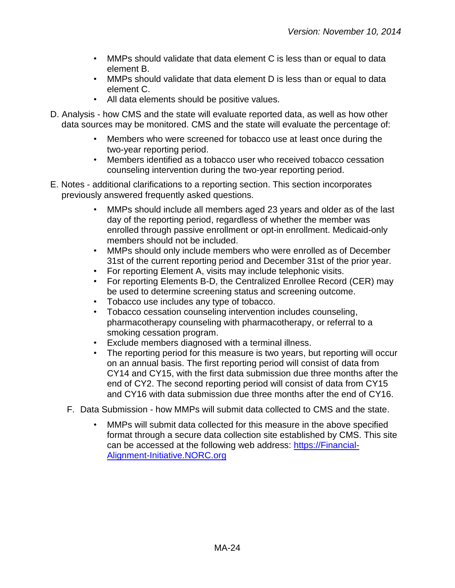- MMPs should validate that data element C is less than or equal to data element B.
- MMPs should validate that data element D is less than or equal to data element C.
- All data elements should be positive values.
- D. Analysis how CMS and the state will evaluate reported data, as well as how other data sources may be monitored. CMS and the state will evaluate the percentage of:
	- Members who were screened for tobacco use at least once during the two-year reporting period.
	- Members identified as a tobacco user who received tobacco cessation counseling intervention during the two-year reporting period.
- E. Notes additional clarifications to a reporting section. This section incorporates previously answered frequently asked questions.
	- MMPs should include all members aged 23 years and older as of the last day of the reporting period, regardless of whether the member was enrolled through passive enrollment or opt-in enrollment. Medicaid-only members should not be included.
	- MMPs should only include members who were enrolled as of December 31st of the current reporting period and December 31st of the prior year.
	- For reporting Element A, visits may include telephonic visits.
	- For reporting Elements B-D, the Centralized Enrollee Record (CER) may be used to determine screening status and screening outcome.
	- Tobacco use includes any type of tobacco.
	- Tobacco cessation counseling intervention includes counseling, pharmacotherapy counseling with pharmacotherapy, or referral to a smoking cessation program.
	- Exclude members diagnosed with a terminal illness.
	- The reporting period for this measure is two years, but reporting will occur on an annual basis. The first reporting period will consist of data from CY14 and CY15, with the first data submission due three months after the end of CY2. The second reporting period will consist of data from CY15 and CY16 with data submission due three months after the end of CY16.
	- F. Data Submission how MMPs will submit data collected to CMS and the state.
		- MMPs will submit data collected for this measure in the above specified format through a secure data collection site established by CMS. This site can be accessed at the following web address: [https://Financial-](https://financial-alignment-initiative.norc.org/)[Alignment-Initiative.NORC.org](https://financial-alignment-initiative.norc.org/)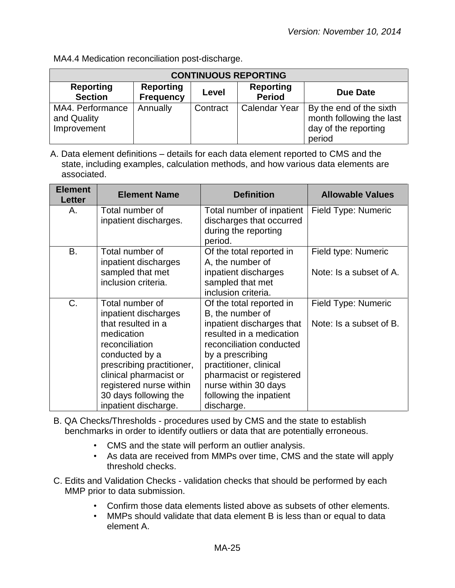MA4.4 Medication reconciliation post-discharge.

| <b>CONTINUOUS REPORTING</b>                    |                                      |          |                                   |                                                                                       |
|------------------------------------------------|--------------------------------------|----------|-----------------------------------|---------------------------------------------------------------------------------------|
| <b>Reporting</b><br><b>Section</b>             | <b>Reporting</b><br><b>Frequency</b> | Level    | <b>Reporting</b><br><b>Period</b> | Due Date                                                                              |
| MA4. Performance<br>and Quality<br>Improvement | Annually                             | Contract | <b>Calendar Year</b>              | By the end of the sixth<br>month following the last<br>day of the reporting<br>period |

| <b>Element</b><br><b>Letter</b> | <b>Element Name</b>                                                                                                                                                                                     | <b>Definition</b>                                                                                                                                                                                                            | <b>Allowable Values</b> |
|---------------------------------|---------------------------------------------------------------------------------------------------------------------------------------------------------------------------------------------------------|------------------------------------------------------------------------------------------------------------------------------------------------------------------------------------------------------------------------------|-------------------------|
| Α.                              | Total number of<br>inpatient discharges.                                                                                                                                                                | Field Type: Numeric<br>Total number of inpatient<br>discharges that occurred<br>during the reporting<br>period.                                                                                                              |                         |
| B.                              | Total number of<br>inpatient discharges                                                                                                                                                                 | Of the total reported in<br>A, the number of                                                                                                                                                                                 | Field type: Numeric     |
|                                 | sampled that met<br>inclusion criteria.                                                                                                                                                                 | inpatient discharges<br>sampled that met<br>inclusion criteria.                                                                                                                                                              | Note: Is a subset of A. |
| C.                              | Total number of<br>inpatient discharges                                                                                                                                                                 | Of the total reported in<br>B, the number of                                                                                                                                                                                 | Field Type: Numeric     |
|                                 | that resulted in a<br>medication<br>reconciliation<br>conducted by a<br>prescribing practitioner,<br>clinical pharmacist or<br>registered nurse within<br>30 days following the<br>inpatient discharge. | inpatient discharges that<br>resulted in a medication<br>reconciliation conducted<br>by a prescribing<br>practitioner, clinical<br>pharmacist or registered<br>nurse within 30 days<br>following the inpatient<br>discharge. | Note: Is a subset of B. |

- B. QA Checks/Thresholds procedures used by CMS and the state to establish benchmarks in order to identify outliers or data that are potentially erroneous.
	- CMS and the state will perform an outlier analysis.
	- As data are received from MMPs over time, CMS and the state will apply threshold checks.
- C. Edits and Validation Checks validation checks that should be performed by each MMP prior to data submission.
	- Confirm those data elements listed above as subsets of other elements.
	- MMPs should validate that data element B is less than or equal to data element A.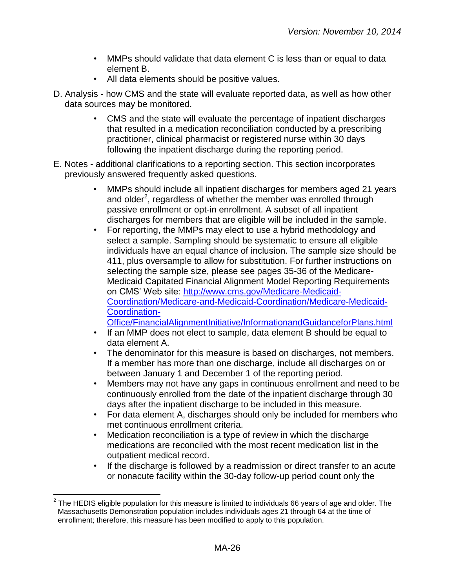- MMPs should validate that data element C is less than or equal to data element B.
- All data elements should be positive values.
- D. Analysis how CMS and the state will evaluate reported data, as well as how other data sources may be monitored.
	- CMS and the state will evaluate the percentage of inpatient discharges that resulted in a medication reconciliation conducted by a prescribing practitioner, clinical pharmacist or registered nurse within 30 days following the inpatient discharge during the reporting period.
- E. Notes additional clarifications to a reporting section. This section incorporates previously answered frequently asked questions.
	- MMPs should include all inpatient discharges for members aged 21 years and older<sup>2</sup>, regardless of whether the member was enrolled through passive enrollment or opt-in enrollment. A subset of all inpatient discharges for members that are eligible will be included in the sample.
	- For reporting, the MMPs may elect to use a hybrid methodology and select a sample. Sampling should be systematic to ensure all eligible individuals have an equal chance of inclusion. The sample size should be 411, plus oversample to allow for substitution. For further instructions on selecting the sample size, please see pages 35-36 of the Medicare-Medicaid Capitated Financial Alignment Model Reporting Requirements on CMS' Web site: [http://www.cms.gov/Medicare-Medicaid-](http://www.cms.gov/Medicare-Medicaid-Coordination/Medicare-and-Medicaid-Coordination/Medicare-Medicaid-Coordination-Office/FinancialAlignmentInitiative/InformationandGuidanceforPlans.html)[Coordination/Medicare-and-Medicaid-Coordination/Medicare-Medicaid-](http://www.cms.gov/Medicare-Medicaid-Coordination/Medicare-and-Medicaid-Coordination/Medicare-Medicaid-Coordination-Office/FinancialAlignmentInitiative/InformationandGuidanceforPlans.html)[Coordination-](http://www.cms.gov/Medicare-Medicaid-Coordination/Medicare-and-Medicaid-Coordination/Medicare-Medicaid-Coordination-Office/FinancialAlignmentInitiative/InformationandGuidanceforPlans.html)
	- [Office/FinancialAlignmentInitiative/InformationandGuidanceforPlans.html](http://www.cms.gov/Medicare-Medicaid-Coordination/Medicare-and-Medicaid-Coordination/Medicare-Medicaid-Coordination-Office/FinancialAlignmentInitiative/InformationandGuidanceforPlans.html)  • If an MMP does not elect to sample, data element B should be equal to
	- data element A.
	- The denominator for this measure is based on discharges, not members. If a member has more than one discharge, include all discharges on or between January 1 and December 1 of the reporting period.
	- Members may not have any gaps in continuous enrollment and need to be continuously enrolled from the date of the inpatient discharge through 30 days after the inpatient discharge to be included in this measure.
	- For data element A, discharges should only be included for members who met continuous enrollment criteria.
	- Medication reconciliation is a type of review in which the discharge medications are reconciled with the most recent medication list in the outpatient medical record.
	- If the discharge is followed by a readmission or direct transfer to an acute or nonacute facility within the 30-day follow-up period count only the

 $\overline{a}$  $^{2}$  The HEDIS eligible population for this measure is limited to individuals 66 years of age and older. The Massachusetts Demonstration population includes individuals ages 21 through 64 at the time of enrollment; therefore, this measure has been modified to apply to this population.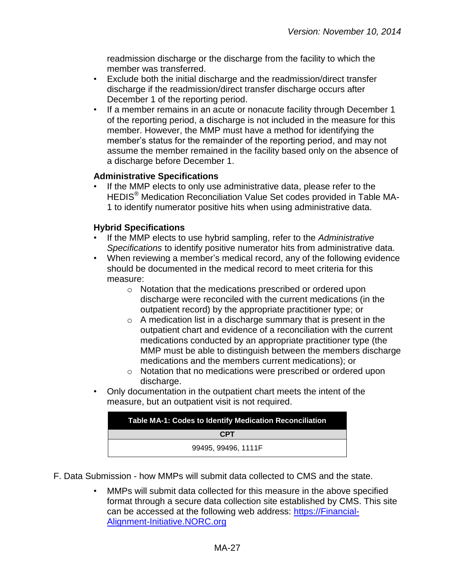readmission discharge or the discharge from the facility to which the member was transferred.

- Exclude both the initial discharge and the readmission/direct transfer discharge if the readmission/direct transfer discharge occurs after December 1 of the reporting period.
- If a member remains in an acute or nonacute facility through December 1 of the reporting period, a discharge is not included in the measure for this member. However, the MMP must have a method for identifying the member's status for the remainder of the reporting period, and may not assume the member remained in the facility based only on the absence of a discharge before December 1.

#### **Administrative Specifications**

If the MMP elects to only use administrative data, please refer to the HEDIS® Medication Reconciliation Value Set codes provided in Table MA-1 to identify numerator positive hits when using administrative data.

#### **Hybrid Specifications**

- If the MMP elects to use hybrid sampling, refer to the *Administrative Specifications* to identify positive numerator hits from administrative data.
- When reviewing a member's medical record, any of the following evidence should be documented in the medical record to meet criteria for this measure:
	- o Notation that the medications prescribed or ordered upon discharge were reconciled with the current medications (in the outpatient record) by the appropriate practitioner type; or
	- $\circ$  A medication list in a discharge summary that is present in the outpatient chart and evidence of a reconciliation with the current medications conducted by an appropriate practitioner type (the MMP must be able to distinguish between the members discharge medications and the members current medications); or
	- o Notation that no medications were prescribed or ordered upon discharge.
- Only documentation in the outpatient chart meets the intent of the measure, but an outpatient visit is not required.

| <b>Table MA-1: Codes to Identify Medication Reconciliation</b> |
|----------------------------------------------------------------|
| <b>CPT</b>                                                     |
| 99495, 99496, 1111F                                            |

- F. Data Submission how MMPs will submit data collected to CMS and the state.
	- MMPs will submit data collected for this measure in the above specified format through a secure data collection site established by CMS. This site can be accessed at the following web address: [https://Financial-](https://financial-alignment-initiative.norc.org/)[Alignment-Initiative.NORC.org](https://financial-alignment-initiative.norc.org/)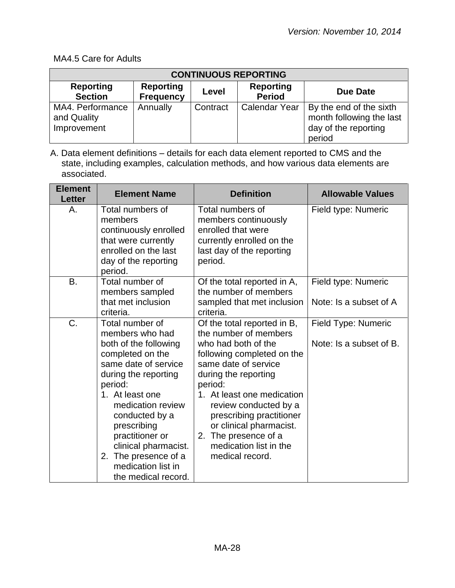## MA4.5 Care for Adults

| <b>CONTINUOUS REPORTING</b>                    |                                      |          |                                   |                                                                                       |
|------------------------------------------------|--------------------------------------|----------|-----------------------------------|---------------------------------------------------------------------------------------|
| <b>Reporting</b><br><b>Section</b>             | <b>Reporting</b><br><b>Frequency</b> | Level    | <b>Reporting</b><br><b>Period</b> | <b>Due Date</b>                                                                       |
| MA4. Performance<br>and Quality<br>Improvement | Annually                             | Contract | <b>Calendar Year</b>              | By the end of the sixth<br>month following the last<br>day of the reporting<br>period |

| <b>Element</b><br><b>Letter</b> | <b>Element Name</b>                                                                                                                                                                                                                                                                                                                 | <b>Definition</b>                                                                                                                                                                                                                                                                                                                                          | <b>Allowable Values</b>                        |
|---------------------------------|-------------------------------------------------------------------------------------------------------------------------------------------------------------------------------------------------------------------------------------------------------------------------------------------------------------------------------------|------------------------------------------------------------------------------------------------------------------------------------------------------------------------------------------------------------------------------------------------------------------------------------------------------------------------------------------------------------|------------------------------------------------|
| Α.                              | Total numbers of<br>members<br>continuously enrolled<br>that were currently<br>enrolled on the last<br>day of the reporting<br>period.                                                                                                                                                                                              | Total numbers of<br>members continuously<br>enrolled that were<br>currently enrolled on the<br>last day of the reporting<br>period.                                                                                                                                                                                                                        | Field type: Numeric                            |
| <b>B.</b>                       | Total number of<br>members sampled<br>that met inclusion                                                                                                                                                                                                                                                                            | Of the total reported in A,<br>the number of members<br>sampled that met inclusion                                                                                                                                                                                                                                                                         | Field type: Numeric<br>Note: Is a subset of A  |
|                                 | criteria.                                                                                                                                                                                                                                                                                                                           | criteria.                                                                                                                                                                                                                                                                                                                                                  |                                                |
| C.                              | Total number of<br>members who had<br>both of the following<br>completed on the<br>same date of service<br>during the reporting<br>period:<br>1. At least one<br>medication review<br>conducted by a<br>prescribing<br>practitioner or<br>clinical pharmacist.<br>2. The presence of a<br>medication list in<br>the medical record. | Of the total reported in B,<br>the number of members<br>who had both of the<br>following completed on the<br>same date of service<br>during the reporting<br>period:<br>1. At least one medication<br>review conducted by a<br>prescribing practitioner<br>or clinical pharmacist.<br>The presence of a<br>2.<br>medication list in the<br>medical record. | Field Type: Numeric<br>Note: Is a subset of B. |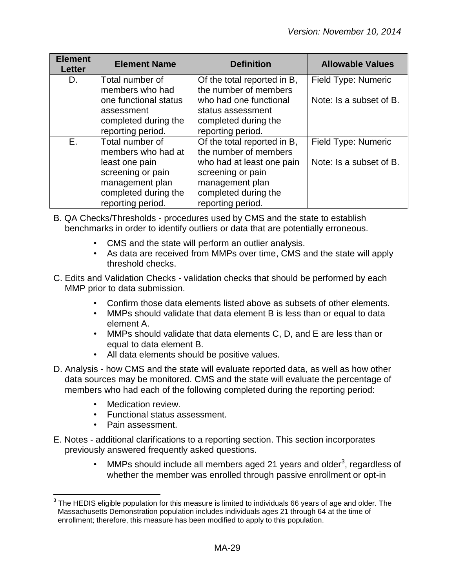| <b>Element</b><br><b>Letter</b> | <b>Element Name</b>   | <b>Definition</b>           | <b>Allowable Values</b> |
|---------------------------------|-----------------------|-----------------------------|-------------------------|
| D.                              | Total number of       | Of the total reported in B, | Field Type: Numeric     |
|                                 | members who had       | the number of members       |                         |
|                                 | one functional status | who had one functional      | Note: Is a subset of B. |
|                                 | assessment            | status assessment           |                         |
|                                 | completed during the  | completed during the        |                         |
|                                 | reporting period.     | reporting period.           |                         |
| Е.                              | Total number of       | Of the total reported in B, | Field Type: Numeric     |
|                                 | members who had at    | the number of members       |                         |
|                                 | least one pain        | who had at least one pain   | Note: Is a subset of B. |
|                                 | screening or pain     | screening or pain           |                         |
|                                 | management plan       | management plan             |                         |
|                                 | completed during the  | completed during the        |                         |
|                                 | reporting period.     | reporting period.           |                         |

- B. QA Checks/Thresholds procedures used by CMS and the state to establish benchmarks in order to identify outliers or data that are potentially erroneous.
	- CMS and the state will perform an outlier analysis.
	- As data are received from MMPs over time, CMS and the state will apply threshold checks.
- C. Edits and Validation Checks validation checks that should be performed by each MMP prior to data submission.
	- Confirm those data elements listed above as subsets of other elements.
	- MMPs should validate that data element B is less than or equal to data element A.
	- MMPs should validate that data elements C, D, and E are less than or equal to data element B.
	- All data elements should be positive values.
- D. Analysis how CMS and the state will evaluate reported data, as well as how other data sources may be monitored. CMS and the state will evaluate the percentage of members who had each of the following completed during the reporting period:
	- Medication review.
	- Functional status assessment.
	- Pain assessment.
- E. Notes additional clarifications to a reporting section. This section incorporates previously answered frequently asked questions.
	- MMPs should include all members aged 21 years and older<sup>3</sup>, regardless of whether the member was enrolled through passive enrollment or opt-in

 3 The HEDIS eligible population for this measure is limited to individuals 66 years of age and older. The Massachusetts Demonstration population includes individuals ages 21 through 64 at the time of enrollment; therefore, this measure has been modified to apply to this population.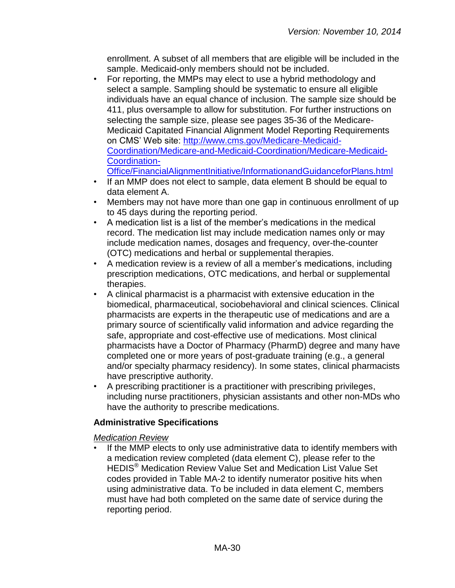enrollment. A subset of all members that are eligible will be included in the sample. Medicaid-only members should not be included.

• For reporting, the MMPs may elect to use a hybrid methodology and select a sample. Sampling should be systematic to ensure all eligible individuals have an equal chance of inclusion. The sample size should be 411, plus oversample to allow for substitution. For further instructions on selecting the sample size, please see pages 35-36 of the Medicare-Medicaid Capitated Financial Alignment Model Reporting Requirements on CMS' Web site: [http://www.cms.gov/Medicare-Medicaid-](http://www.cms.gov/Medicare-Medicaid-Coordination/Medicare-and-Medicaid-Coordination/Medicare-Medicaid-Coordination-Office/FinancialAlignmentInitiative/InformationandGuidanceforPlans.html)[Coordination/Medicare-and-Medicaid-Coordination/Medicare-Medicaid-](http://www.cms.gov/Medicare-Medicaid-Coordination/Medicare-and-Medicaid-Coordination/Medicare-Medicaid-Coordination-Office/FinancialAlignmentInitiative/InformationandGuidanceforPlans.html)[Coordination-](http://www.cms.gov/Medicare-Medicaid-Coordination/Medicare-and-Medicaid-Coordination/Medicare-Medicaid-Coordination-Office/FinancialAlignmentInitiative/InformationandGuidanceforPlans.html)

[Office/FinancialAlignmentInitiative/InformationandGuidanceforPlans.html](http://www.cms.gov/Medicare-Medicaid-Coordination/Medicare-and-Medicaid-Coordination/Medicare-Medicaid-Coordination-Office/FinancialAlignmentInitiative/InformationandGuidanceforPlans.html)

- If an MMP does not elect to sample, data element B should be equal to data element A.
- Members may not have more than one gap in continuous enrollment of up to 45 days during the reporting period.
- A medication list is a list of the member's medications in the medical record. The medication list may include medication names only or may include medication names, dosages and frequency, over-the-counter (OTC) medications and herbal or supplemental therapies.
- A medication review is a review of all a member's medications, including prescription medications, OTC medications, and herbal or supplemental therapies.
- A clinical pharmacist is a pharmacist with extensive education in the biomedical, pharmaceutical, sociobehavioral and clinical sciences. Clinical pharmacists are experts in the therapeutic use of medications and are a primary source of scientifically valid information and advice regarding the safe, appropriate and cost-effective use of medications. Most clinical pharmacists have a Doctor of Pharmacy (PharmD) degree and many have completed one or more years of post-graduate training (e.g., a general and/or specialty pharmacy residency). In some states, clinical pharmacists have prescriptive authority.
- A prescribing practitioner is a practitioner with prescribing privileges, including nurse practitioners, physician assistants and other non-MDs who have the authority to prescribe medications.

#### **Administrative Specifications**

*Medication Review*

If the MMP elects to only use administrative data to identify members with a medication review completed (data element C), please refer to the HEDIS® Medication Review Value Set and Medication List Value Set codes provided in Table MA-2 to identify numerator positive hits when using administrative data. To be included in data element C, members must have had both completed on the same date of service during the reporting period.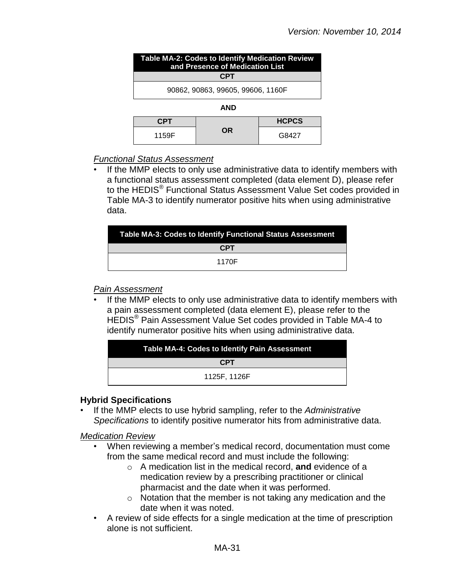| Table MA-2: Codes to Identify Medication Review<br>and Presence of Medication List |            |              |
|------------------------------------------------------------------------------------|------------|--------------|
|                                                                                    | <b>CPT</b> |              |
| 90862, 90863, 99605, 99606, 1160F                                                  |            |              |
| <b>AND</b>                                                                         |            |              |
| <b>CPT</b>                                                                         |            | <b>HCPCS</b> |
| 1159F                                                                              | OR         |              |

#### *Functional Status Assessment*

If the MMP elects to only use administrative data to identify members with a functional status assessment completed (data element D), please refer to the HEDIS<sup>®</sup> Functional Status Assessment Value Set codes provided in Table MA-3 to identify numerator positive hits when using administrative data.

| Table MA-3: Codes to Identify Functional Status Assessment |
|------------------------------------------------------------|
| <b>CPT</b>                                                 |
| 1170F                                                      |

#### *Pain Assessment*

If the MMP elects to only use administrative data to identify members with a pain assessment completed (data element E), please refer to the HEDIS® Pain Assessment Value Set codes provided in Table MA-4 to identify numerator positive hits when using administrative data.

| <b>Table MA-4: Codes to Identify Pain Assessment</b> |  |
|------------------------------------------------------|--|
| <b>CPT</b>                                           |  |
| 1125F. 1126F                                         |  |

#### **Hybrid Specifications**

• If the MMP elects to use hybrid sampling, refer to the *Administrative Specifications* to identify positive numerator hits from administrative data.

*Medication Review*

- When reviewing a member's medical record, documentation must come from the same medical record and must include the following:
	- o A medication list in the medical record, **and** evidence of a medication review by a prescribing practitioner or clinical pharmacist and the date when it was performed.
	- o Notation that the member is not taking any medication and the date when it was noted.
- A review of side effects for a single medication at the time of prescription alone is not sufficient.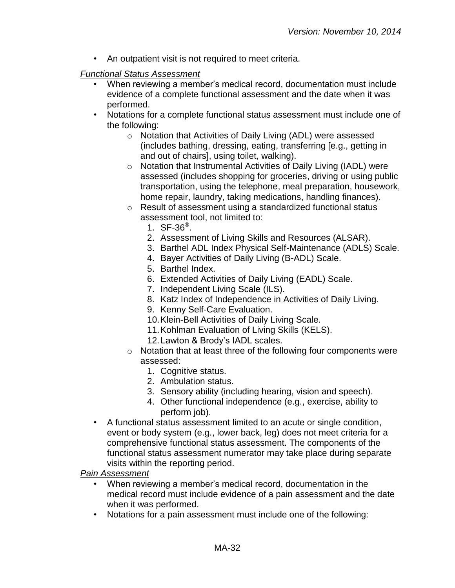• An outpatient visit is not required to meet criteria.

## *Functional Status Assessment*

- When reviewing a member's medical record, documentation must include evidence of a complete functional assessment and the date when it was performed.
- Notations for a complete functional status assessment must include one of the following:
	- o Notation that Activities of Daily Living (ADL) were assessed (includes bathing, dressing, eating, transferring [e.g., getting in and out of chairs], using toilet, walking).
	- o Notation that Instrumental Activities of Daily Living (IADL) were assessed (includes shopping for groceries, driving or using public transportation, using the telephone, meal preparation, housework, home repair, laundry, taking medications, handling finances).
	- o Result of assessment using a standardized functional status assessment tool, not limited to:
		- 1.  $SF-36^{\circ}$ .
		- 2. Assessment of Living Skills and Resources (ALSAR).
		- 3. Barthel ADL Index Physical Self-Maintenance (ADLS) Scale.
		- 4. Bayer Activities of Daily Living (B-ADL) Scale.
		- 5. Barthel Index.
		- 6. Extended Activities of Daily Living (EADL) Scale.
		- 7. Independent Living Scale (ILS).
		- 8. Katz Index of Independence in Activities of Daily Living.
		- 9. Kenny Self-Care Evaluation.
		- 10.Klein-Bell Activities of Daily Living Scale.
		- 11.Kohlman Evaluation of Living Skills (KELS).
		- 12.Lawton & Brody's IADL scales.
	- o Notation that at least three of the following four components were assessed:
		- 1. Cognitive status.
		- 2. Ambulation status.
		- 3. Sensory ability (including hearing, vision and speech).
		- 4. Other functional independence (e.g., exercise, ability to perform job).
- A functional status assessment limited to an acute or single condition, event or body system (e.g., lower back, leg) does not meet criteria for a comprehensive functional status assessment. The components of the functional status assessment numerator may take place during separate visits within the reporting period.

*Pain Assessment*

- When reviewing a member's medical record, documentation in the medical record must include evidence of a pain assessment and the date when it was performed.
- Notations for a pain assessment must include one of the following: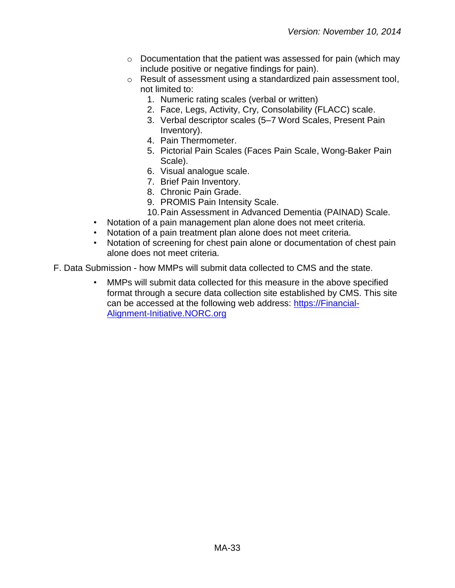- o Documentation that the patient was assessed for pain (which may include positive or negative findings for pain).
- o Result of assessment using a standardized pain assessment tool, not limited to:
	- 1. Numeric rating scales (verbal or written)
	- 2. Face, Legs, Activity, Cry, Consolability (FLACC) scale.
	- 3. Verbal descriptor scales (5–7 Word Scales, Present Pain Inventory).
	- 4. Pain Thermometer.
	- 5. Pictorial Pain Scales (Faces Pain Scale, Wong-Baker Pain Scale).
	- 6. Visual analogue scale.
	- 7. Brief Pain Inventory.
	- 8. Chronic Pain Grade.
	- 9. PROMIS Pain Intensity Scale.
	- 10.Pain Assessment in Advanced Dementia (PAINAD) Scale.
- Notation of a pain management plan alone does not meet criteria.
- Notation of a pain treatment plan alone does not meet criteria.
- Notation of screening for chest pain alone or documentation of chest pain alone does not meet criteria.
- F. Data Submission how MMPs will submit data collected to CMS and the state.
	- MMPs will submit data collected for this measure in the above specified format through a secure data collection site established by CMS. This site can be accessed at the following web address: [https://Financial-](https://financial-alignment-initiative.norc.org/)[Alignment-Initiative.NORC.org](https://financial-alignment-initiative.norc.org/)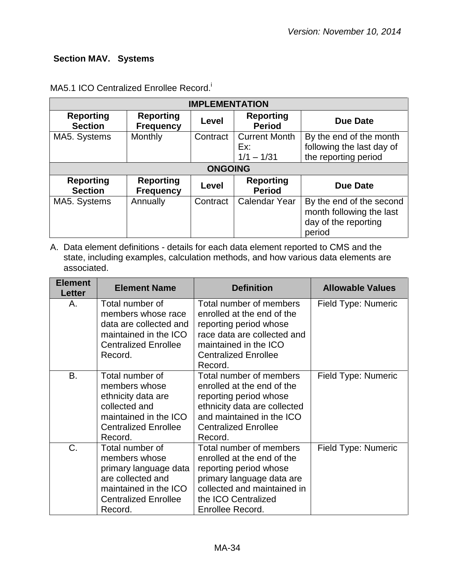# <span id="page-33-0"></span>**Section MAV. Systems**

| <b>IMPLEMENTATION</b>              |                                      |          |                                             |                                                                                        |
|------------------------------------|--------------------------------------|----------|---------------------------------------------|----------------------------------------------------------------------------------------|
| <b>Reporting</b><br><b>Section</b> | <b>Reporting</b><br><b>Frequency</b> | Level    | <b>Reporting</b><br><b>Period</b>           | Due Date                                                                               |
| MA5. Systems                       | Monthly                              | Contract | <b>Current Month</b><br>Ex:<br>$1/1 - 1/31$ | By the end of the month<br>following the last day of<br>the reporting period           |
| <b>ONGOING</b>                     |                                      |          |                                             |                                                                                        |
| <b>Reporting</b><br><b>Section</b> | <b>Reporting</b><br><b>Frequency</b> | Level    | <b>Reporting</b><br><b>Period</b>           | <b>Due Date</b>                                                                        |
| MA5. Systems                       | Annually                             | Contract | <b>Calendar Year</b>                        | By the end of the second<br>month following the last<br>day of the reporting<br>period |

## MA5.1 ICO Centralized Enrollee Record.

| <b>Element</b><br>Letter | <b>Element Name</b>                                                                                                                               | <b>Definition</b>                                                                                                                                                                      | <b>Allowable Values</b> |
|--------------------------|---------------------------------------------------------------------------------------------------------------------------------------------------|----------------------------------------------------------------------------------------------------------------------------------------------------------------------------------------|-------------------------|
| А.                       | Total number of<br>members whose race<br>data are collected and<br>maintained in the ICO<br><b>Centralized Enrollee</b><br>Record.                | Total number of members<br>enrolled at the end of the<br>reporting period whose<br>race data are collected and<br>maintained in the ICO<br><b>Centralized Enrollee</b><br>Record.      | Field Type: Numeric     |
| B.                       | Total number of<br>members whose<br>ethnicity data are<br>collected and<br>maintained in the ICO<br><b>Centralized Enrollee</b><br>Record.        | Total number of members<br>enrolled at the end of the<br>reporting period whose<br>ethnicity data are collected<br>and maintained in the ICO<br><b>Centralized Enrollee</b><br>Record. | Field Type: Numeric     |
| C.                       | Total number of<br>members whose<br>primary language data<br>are collected and<br>maintained in the ICO<br><b>Centralized Enrollee</b><br>Record. | Total number of members<br>enrolled at the end of the<br>reporting period whose<br>primary language data are<br>collected and maintained in<br>the ICO Centralized<br>Enrollee Record. | Field Type: Numeric     |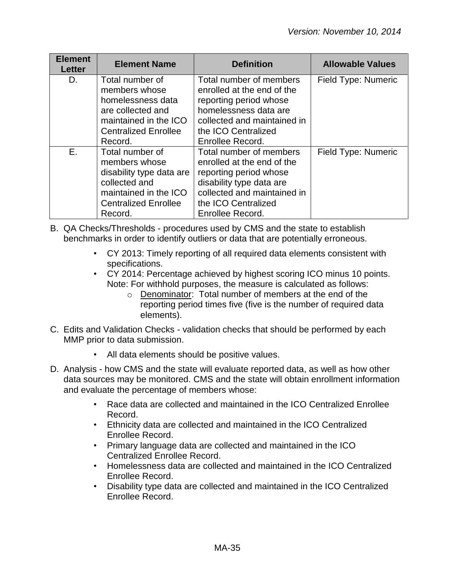| <b>Element</b><br><b>Letter</b> | <b>Element Name</b>                                                                                                                              | <b>Definition</b>                                                                                                                                                                     | <b>Allowable Values</b> |
|---------------------------------|--------------------------------------------------------------------------------------------------------------------------------------------------|---------------------------------------------------------------------------------------------------------------------------------------------------------------------------------------|-------------------------|
| D.                              | Total number of<br>members whose<br>homelessness data<br>are collected and<br>maintained in the ICO<br><b>Centralized Enrollee</b><br>Record.    | Total number of members<br>enrolled at the end of the<br>reporting period whose<br>homelessness data are<br>collected and maintained in<br>the ICO Centralized<br>Enrollee Record.    | Field Type: Numeric     |
| Е.                              | Total number of<br>members whose<br>disability type data are<br>collected and<br>maintained in the ICO<br><b>Centralized Enrollee</b><br>Record. | Total number of members<br>enrolled at the end of the<br>reporting period whose<br>disability type data are<br>collected and maintained in<br>the ICO Centralized<br>Enrollee Record. | Field Type: Numeric     |

B. QA Checks/Thresholds - procedures used by CMS and the state to establish benchmarks in order to identify outliers or data that are potentially erroneous.

- CY 2013: Timely reporting of all required data elements consistent with specifications.
- CY 2014: Percentage achieved by highest scoring ICO minus 10 points. Note: For withhold purposes, the measure is calculated as follows:
	- o Denominator: Total number of members at the end of the reporting period times five (five is the number of required data elements).
- C. Edits and Validation Checks validation checks that should be performed by each MMP prior to data submission.
	- All data elements should be positive values.
- D. Analysis how CMS and the state will evaluate reported data, as well as how other data sources may be monitored. CMS and the state will obtain enrollment information and evaluate the percentage of members whose:
	- Race data are collected and maintained in the ICO Centralized Enrollee Record.
	- Ethnicity data are collected and maintained in the ICO Centralized Enrollee Record.
	- Primary language data are collected and maintained in the ICO Centralized Enrollee Record.
	- Homelessness data are collected and maintained in the ICO Centralized Enrollee Record.
	- Disability type data are collected and maintained in the ICO Centralized Enrollee Record.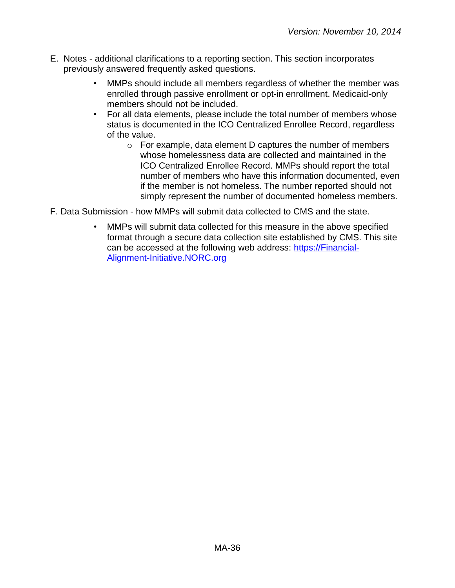- E. Notes additional clarifications to a reporting section. This section incorporates previously answered frequently asked questions.
	- MMPs should include all members regardless of whether the member was enrolled through passive enrollment or opt-in enrollment. Medicaid-only members should not be included.
	- For all data elements, please include the total number of members whose status is documented in the ICO Centralized Enrollee Record, regardless of the value.
		- o For example, data element D captures the number of members whose homelessness data are collected and maintained in the ICO Centralized Enrollee Record. MMPs should report the total number of members who have this information documented, even if the member is not homeless. The number reported should not simply represent the number of documented homeless members.
- F. Data Submission how MMPs will submit data collected to CMS and the state.
	- MMPs will submit data collected for this measure in the above specified format through a secure data collection site established by CMS. This site can be accessed at the following web address: [https://Financial-](https://financial-alignment-initiative.norc.org/)[Alignment-Initiative.NORC.org](https://financial-alignment-initiative.norc.org/)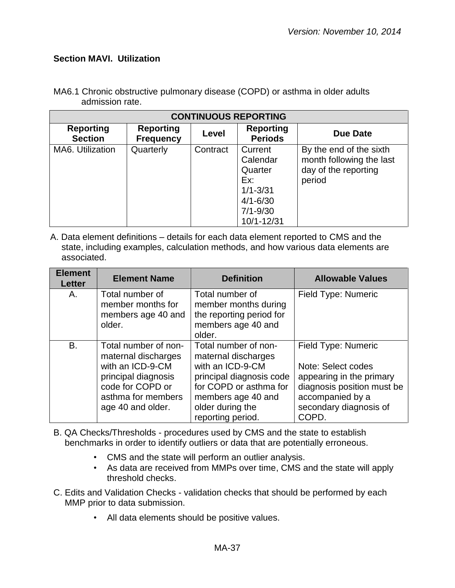#### <span id="page-36-0"></span>**Section MAVI. Utilization**

| <b>CONTINUOUS REPORTING</b>        |                                      |          |                                                                                                     |                                                                                       |
|------------------------------------|--------------------------------------|----------|-----------------------------------------------------------------------------------------------------|---------------------------------------------------------------------------------------|
| <b>Reporting</b><br><b>Section</b> | <b>Reporting</b><br><b>Frequency</b> | Level    | <b>Reporting</b><br><b>Periods</b>                                                                  | Due Date                                                                              |
| MA6. Utilization                   | Quarterly                            | Contract | Current<br>Calendar<br>Quarter<br>Ex:<br>$1/1 - 3/31$<br>$4/1 - 6/30$<br>$7/1 - 9/30$<br>10/1-12/31 | By the end of the sixth<br>month following the last<br>day of the reporting<br>period |

MA6.1 Chronic obstructive pulmonary disease (COPD) or asthma in older adults admission rate.

| <b>Element</b><br><b>Letter</b> | <b>Element Name</b>                                                                                                                                   | <b>Definition</b>                                                                                                                                                                    | <b>Allowable Values</b>                                                                                                                                    |
|---------------------------------|-------------------------------------------------------------------------------------------------------------------------------------------------------|--------------------------------------------------------------------------------------------------------------------------------------------------------------------------------------|------------------------------------------------------------------------------------------------------------------------------------------------------------|
| А.                              | Total number of<br>member months for<br>members age 40 and<br>older.                                                                                  | Total number of<br>member months during<br>the reporting period for<br>members age 40 and<br>older.                                                                                  | Field Type: Numeric                                                                                                                                        |
| Β.                              | Total number of non-<br>maternal discharges<br>with an ICD-9-CM<br>principal diagnosis<br>code for COPD or<br>asthma for members<br>age 40 and older. | Total number of non-<br>maternal discharges<br>with an ICD-9-CM<br>principal diagnosis code<br>for COPD or asthma for<br>members age 40 and<br>older during the<br>reporting period. | Field Type: Numeric<br>Note: Select codes<br>appearing in the primary<br>diagnosis position must be<br>accompanied by a<br>secondary diagnosis of<br>COPD. |

- B. QA Checks/Thresholds procedures used by CMS and the state to establish benchmarks in order to identify outliers or data that are potentially erroneous.
	- CMS and the state will perform an outlier analysis.
	- As data are received from MMPs over time, CMS and the state will apply threshold checks.
- C. Edits and Validation Checks validation checks that should be performed by each MMP prior to data submission.
	- All data elements should be positive values.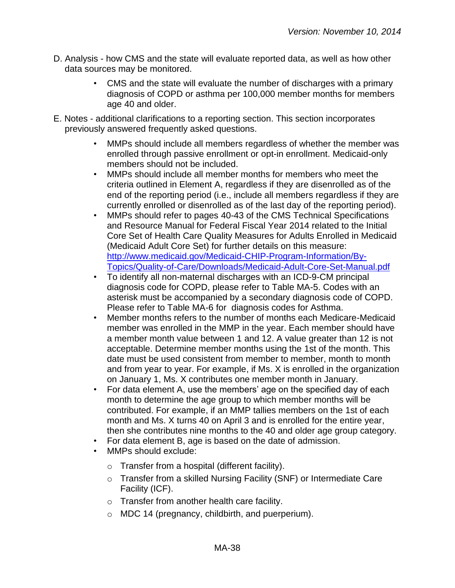- D. Analysis how CMS and the state will evaluate reported data, as well as how other data sources may be monitored.
	- CMS and the state will evaluate the number of discharges with a primary diagnosis of COPD or asthma per 100,000 member months for members age 40 and older.
- E. Notes additional clarifications to a reporting section. This section incorporates previously answered frequently asked questions.
	- MMPs should include all members regardless of whether the member was enrolled through passive enrollment or opt-in enrollment. Medicaid-only members should not be included.
	- MMPs should include all member months for members who meet the criteria outlined in Element A, regardless if they are disenrolled as of the end of the reporting period (i.e., include all members regardless if they are currently enrolled or disenrolled as of the last day of the reporting period).
	- MMPs should refer to pages 40-43 of the CMS Technical Specifications and Resource Manual for Federal Fiscal Year 2014 related to the Initial Core Set of Health Care Quality Measures for Adults Enrolled in Medicaid (Medicaid Adult Core Set) for further details on this measure: [http://www.medicaid.gov/Medicaid-CHIP-Program-Information/By-](http://www.medicaid.gov/Medicaid-CHIP-Program-Information/By-Topics/Quality-of-Care/Downloads/Medicaid-Adult-Core-Set-Manual.pdf)[Topics/Quality-of-Care/Downloads/Medicaid-Adult-Core-Set-Manual.pdf](http://www.medicaid.gov/Medicaid-CHIP-Program-Information/By-Topics/Quality-of-Care/Downloads/Medicaid-Adult-Core-Set-Manual.pdf)
	- To identify all non-maternal discharges with an ICD-9-CM principal diagnosis code for COPD, please refer to Table MA-5. Codes with an asterisk must be accompanied by a secondary diagnosis code of COPD. Please refer to Table MA-6 for diagnosis codes for Asthma.
	- Member months refers to the number of months each Medicare-Medicaid member was enrolled in the MMP in the year. Each member should have a member month value between 1 and 12. A value greater than 12 is not acceptable. Determine member months using the 1st of the month. This date must be used consistent from member to member, month to month and from year to year. For example, if Ms. X is enrolled in the organization on January 1, Ms. X contributes one member month in January.
	- For data element A, use the members' age on the specified day of each month to determine the age group to which member months will be contributed. For example, if an MMP tallies members on the 1st of each month and Ms. X turns 40 on April 3 and is enrolled for the entire year, then she contributes nine months to the 40 and older age group category.
	- For data element B, age is based on the date of admission.
	- MMPs should exclude:
		- o Transfer from a hospital (different facility).
		- o Transfer from a skilled Nursing Facility (SNF) or Intermediate Care Facility (ICF).
		- o Transfer from another health care facility.
		- o MDC 14 (pregnancy, childbirth, and puerperium).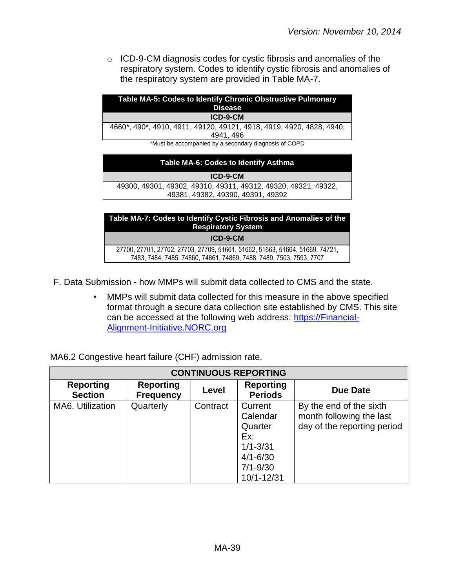o ICD-9-CM diagnosis codes for cystic fibrosis and anomalies of the respiratory system. Codes to identify cystic fibrosis and anomalies of the respiratory system are provided in Table MA-7.

| Table MA-5: Codes to Identify Chronic Obstructive Pulmonary<br><b>Disease</b> |
|-------------------------------------------------------------------------------|
| ICD-9-CM                                                                      |
| 4660*, 490*, 4910, 4911, 49120, 49121, 4918, 4919, 4920, 4828, 4940,          |
| 4941, 496                                                                     |
| *Must be accompanied by a secondary diagnosis of COPD                         |
| Table MA-6: Codes to Identify Asthma                                          |

**ICD-9-CM**  49300, 49301, 49302, 49310, 49311, 49312, 49320, 49321, 49322, 49381, 49382, 49390, 49391, 49392

# **Table MA-7: Codes to Identify Cystic Fibrosis and Anomalies of the Respiratory System ICD-9-CM**

27700, 27701, 27702, 27703, 27709, 51661, 51662, 51663, 51664, 51669, 74721, 7483, 7484, 7485, 74860, 74861, 74869, 7488, 7489, 7503, 7593, 7707

- F. Data Submission how MMPs will submit data collected to CMS and the state.
	- MMPs will submit data collected for this measure in the above specified format through a secure data collection site established by CMS. This site can be accessed at the following web address: [https://Financial-](https://financial-alignment-initiative.norc.org/)[Alignment-Initiative.NORC.org](https://financial-alignment-initiative.norc.org/)

| MA6.2 Congestive heart failure (CHF) admission rate. |  |  |
|------------------------------------------------------|--|--|
|                                                      |  |  |

| <b>CONTINUOUS REPORTING</b>        |                                      |          |                                                                                                         |                                                                                    |  |
|------------------------------------|--------------------------------------|----------|---------------------------------------------------------------------------------------------------------|------------------------------------------------------------------------------------|--|
| <b>Reporting</b><br><b>Section</b> | <b>Reporting</b><br><b>Frequency</b> | Level    | <b>Reporting</b><br><b>Periods</b>                                                                      | Due Date                                                                           |  |
| MA6. Utilization                   | Quarterly                            | Contract | Current<br>Calendar<br>Quarter<br>Ex:<br>$1/1 - 3/31$<br>$4/1 - 6/30$<br>$7/1 - 9/30$<br>$10/1 - 12/31$ | By the end of the sixth<br>month following the last<br>day of the reporting period |  |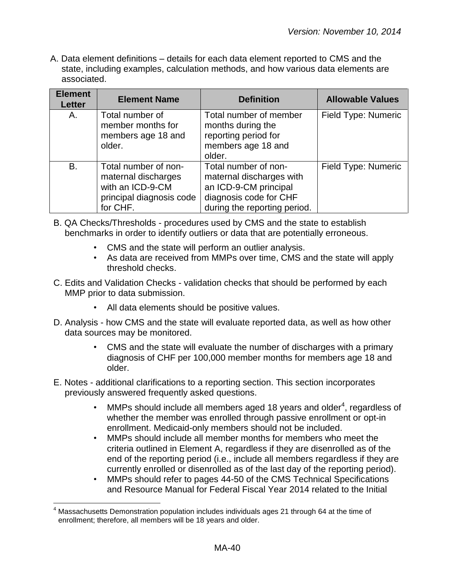| <b>Element</b><br><b>Letter</b> | <b>Element Name</b>                                                                                     | <b>Definition</b>                                                                                                                   | <b>Allowable Values</b> |
|---------------------------------|---------------------------------------------------------------------------------------------------------|-------------------------------------------------------------------------------------------------------------------------------------|-------------------------|
| А.                              | Total number of<br>member months for<br>members age 18 and<br>older.                                    | Total number of member<br>months during the<br>reporting period for<br>members age 18 and<br>older.                                 | Field Type: Numeric     |
| B.                              | Total number of non-<br>maternal discharges<br>with an ICD-9-CM<br>principal diagnosis code<br>for CHF. | Total number of non-<br>maternal discharges with<br>an ICD-9-CM principal<br>diagnosis code for CHF<br>during the reporting period. | Field Type: Numeric     |

- B. QA Checks/Thresholds procedures used by CMS and the state to establish benchmarks in order to identify outliers or data that are potentially erroneous.
	- CMS and the state will perform an outlier analysis.
	- As data are received from MMPs over time, CMS and the state will apply threshold checks.
- C. Edits and Validation Checks validation checks that should be performed by each MMP prior to data submission.
	- All data elements should be positive values.
- D. Analysis how CMS and the state will evaluate reported data, as well as how other data sources may be monitored.
	- CMS and the state will evaluate the number of discharges with a primary diagnosis of CHF per 100,000 member months for members age 18 and older.
- E. Notes additional clarifications to a reporting section. This section incorporates previously answered frequently asked questions.
	- MMPs should include all members aged 18 years and older<sup>4</sup>, regardless of whether the member was enrolled through passive enrollment or opt-in enrollment. Medicaid-only members should not be included.
	- MMPs should include all member months for members who meet the criteria outlined in Element A, regardless if they are disenrolled as of the end of the reporting period (i.e., include all members regardless if they are currently enrolled or disenrolled as of the last day of the reporting period).
	- MMPs should refer to pages 44-50 of the CMS Technical Specifications and Resource Manual for Federal Fiscal Year 2014 related to the Initial

 $\overline{a}$  $<sup>4</sup>$  Massachusetts Demonstration population includes individuals ages 21 through 64 at the time of</sup> enrollment; therefore, all members will be 18 years and older.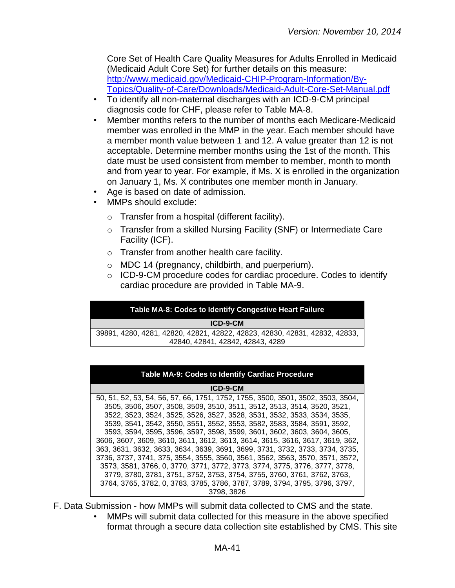Core Set of Health Care Quality Measures for Adults Enrolled in Medicaid (Medicaid Adult Core Set) for further details on this measure: [http://www.medicaid.gov/Medicaid-CHIP-Program-Information/By-](http://www.medicaid.gov/Medicaid-CHIP-Program-Information/By-Topics/Quality-of-Care/Downloads/Medicaid-Adult-Core-Set-Manual.pdf)[Topics/Quality-of-Care/Downloads/Medicaid-Adult-Core-Set-Manual.pdf](http://www.medicaid.gov/Medicaid-CHIP-Program-Information/By-Topics/Quality-of-Care/Downloads/Medicaid-Adult-Core-Set-Manual.pdf)

- To identify all non-maternal discharges with an ICD-9-CM principal diagnosis code for CHF, please refer to Table MA-8.
- Member months refers to the number of months each Medicare-Medicaid member was enrolled in the MMP in the year. Each member should have a member month value between 1 and 12. A value greater than 12 is not acceptable. Determine member months using the 1st of the month. This date must be used consistent from member to member, month to month and from year to year. For example, if Ms. X is enrolled in the organization on January 1, Ms. X contributes one member month in January.
- Age is based on date of admission.
- MMPs should exclude:
	- o Transfer from a hospital (different facility).
	- o Transfer from a skilled Nursing Facility (SNF) or Intermediate Care Facility (ICF).
	- o Transfer from another health care facility.
	- o MDC 14 (pregnancy, childbirth, and puerperium).
	- o ICD-9-CM procedure codes for cardiac procedure. Codes to identify cardiac procedure are provided in Table MA-9.

#### **Table MA-8: Codes to Identify Congestive Heart Failure**

#### **ICD-9-CM**

39891, 4280, 4281, 42820, 42821, 42822, 42823, 42830, 42831, 42832, 42833, 42840, 42841, 42842, 42843, 4289

| <b>Table MA-9: Codes to Identify Cardiac Procedure</b>                          |  |  |  |  |
|---------------------------------------------------------------------------------|--|--|--|--|
| ICD-9-CM                                                                        |  |  |  |  |
| 50, 51, 52, 53, 54, 56, 57, 66, 1751, 1752, 1755, 3500, 3501, 3502, 3503, 3504, |  |  |  |  |
| 3505, 3506, 3507, 3508, 3509, 3510, 3511, 3512, 3513, 3514, 3520, 3521,         |  |  |  |  |
| 3522, 3523, 3524, 3525, 3526, 3527, 3528, 3531, 3532, 3533, 3534, 3535,         |  |  |  |  |
| 3539, 3541, 3542, 3550, 3551, 3552, 3553, 3582, 3583, 3584, 3591, 3592,         |  |  |  |  |
| 3593, 3594, 3595, 3596, 3597, 3598, 3599, 3601, 3602, 3603, 3604, 3605,         |  |  |  |  |
| 3606, 3607, 3609, 3610, 3611, 3612, 3613, 3614, 3615, 3616, 3617, 3619, 362,    |  |  |  |  |
| 363, 3631, 3632, 3633, 3634, 3639, 3691, 3699, 3731, 3732, 3733, 3734, 3735,    |  |  |  |  |
| 3736, 3737, 3741, 375, 3554, 3555, 3560, 3561, 3562, 3563, 3570, 3571, 3572,    |  |  |  |  |
| 3573, 3581, 3766, 0, 3770, 3771, 3772, 3773, 3774, 3775, 3776, 3777, 3778,      |  |  |  |  |
| 3779, 3780, 3781, 3751, 3752, 3753, 3754, 3755, 3760, 3761, 3762, 3763,         |  |  |  |  |
| 3764, 3765, 3782, 0, 3783, 3785, 3786, 3787, 3789, 3794, 3795, 3796, 3797,      |  |  |  |  |
| 3798, 3826                                                                      |  |  |  |  |

- F. Data Submission how MMPs will submit data collected to CMS and the state.
	- MMPs will submit data collected for this measure in the above specified format through a secure data collection site established by CMS. This site